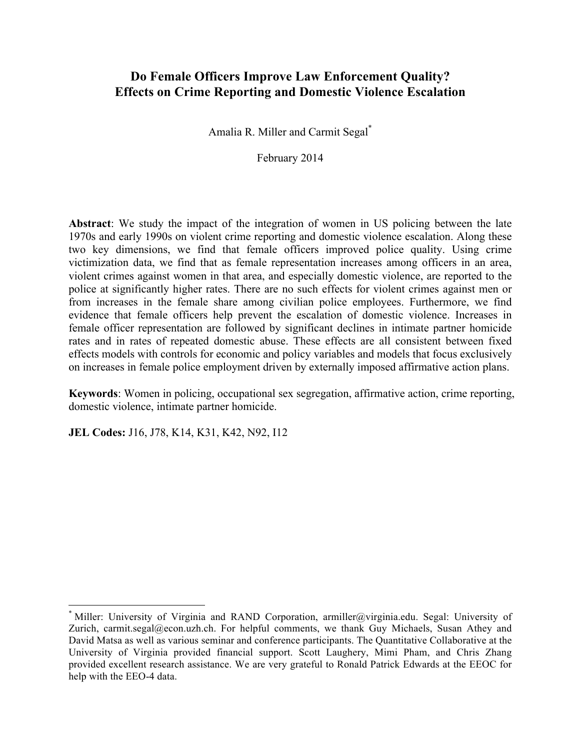## **Do Female Officers Improve Law Enforcement Quality? Effects on Crime Reporting and Domestic Violence Escalation**

Amalia R. Miller and Carmit Segal\*

February 2014

**Abstract**: We study the impact of the integration of women in US policing between the late 1970s and early 1990s on violent crime reporting and domestic violence escalation. Along these two key dimensions, we find that female officers improved police quality. Using crime victimization data, we find that as female representation increases among officers in an area, violent crimes against women in that area, and especially domestic violence, are reported to the police at significantly higher rates. There are no such effects for violent crimes against men or from increases in the female share among civilian police employees. Furthermore, we find evidence that female officers help prevent the escalation of domestic violence. Increases in female officer representation are followed by significant declines in intimate partner homicide rates and in rates of repeated domestic abuse. These effects are all consistent between fixed effects models with controls for economic and policy variables and models that focus exclusively on increases in female police employment driven by externally imposed affirmative action plans.

**Keywords**: Women in policing, occupational sex segregation, affirmative action, crime reporting, domestic violence, intimate partner homicide.

**JEL Codes:** J16, J78, K14, K31, K42, N92, I12

<sup>\*</sup> Miller: University of Virginia and RAND Corporation, armiller@virginia.edu. Segal: University of Zurich, carmit.segal@econ.uzh.ch. For helpful comments, we thank Guy Michaels, Susan Athey and David Matsa as well as various seminar and conference participants. The Quantitative Collaborative at the University of Virginia provided financial support. Scott Laughery, Mimi Pham, and Chris Zhang provided excellent research assistance. We are very grateful to Ronald Patrick Edwards at the EEOC for help with the EEO-4 data.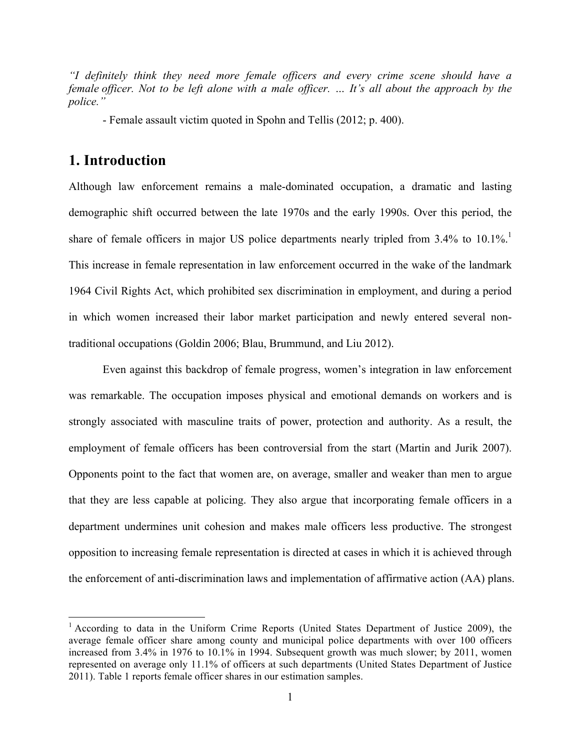*"I definitely think they need more female officers and every crime scene should have a female officer. Not to be left alone with a male officer. … It's all about the approach by the police."*

- Female assault victim quoted in Spohn and Tellis (2012; p. 400).

## **1. Introduction**

Although law enforcement remains a male-dominated occupation, a dramatic and lasting demographic shift occurred between the late 1970s and the early 1990s. Over this period, the share of female officers in major US police departments nearly tripled from 3.4% to 10.1%. This increase in female representation in law enforcement occurred in the wake of the landmark 1964 Civil Rights Act, which prohibited sex discrimination in employment, and during a period in which women increased their labor market participation and newly entered several nontraditional occupations (Goldin 2006; Blau, Brummund, and Liu 2012).

Even against this backdrop of female progress, women's integration in law enforcement was remarkable. The occupation imposes physical and emotional demands on workers and is strongly associated with masculine traits of power, protection and authority. As a result, the employment of female officers has been controversial from the start (Martin and Jurik 2007). Opponents point to the fact that women are, on average, smaller and weaker than men to argue that they are less capable at policing. They also argue that incorporating female officers in a department undermines unit cohesion and makes male officers less productive. The strongest opposition to increasing female representation is directed at cases in which it is achieved through the enforcement of anti-discrimination laws and implementation of affirmative action (AA) plans.

<sup>&</sup>lt;sup>1</sup> According to data in the Uniform Crime Reports (United States Department of Justice 2009), the average female officer share among county and municipal police departments with over 100 officers increased from 3.4% in 1976 to 10.1% in 1994. Subsequent growth was much slower; by 2011, women represented on average only 11.1% of officers at such departments (United States Department of Justice 2011). Table 1 reports female officer shares in our estimation samples.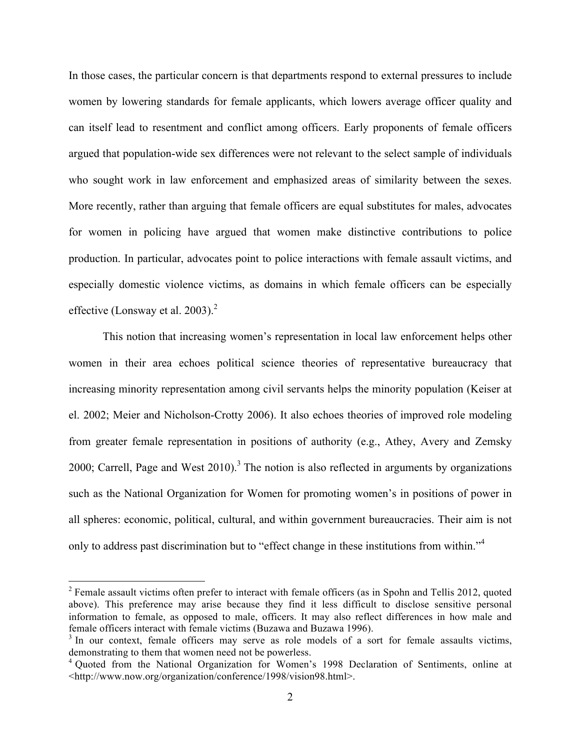In those cases, the particular concern is that departments respond to external pressures to include women by lowering standards for female applicants, which lowers average officer quality and can itself lead to resentment and conflict among officers. Early proponents of female officers argued that population-wide sex differences were not relevant to the select sample of individuals who sought work in law enforcement and emphasized areas of similarity between the sexes. More recently, rather than arguing that female officers are equal substitutes for males, advocates for women in policing have argued that women make distinctive contributions to police production. In particular, advocates point to police interactions with female assault victims, and especially domestic violence victims, as domains in which female officers can be especially effective (Lonsway et al. 2003).<sup>2</sup>

This notion that increasing women's representation in local law enforcement helps other women in their area echoes political science theories of representative bureaucracy that increasing minority representation among civil servants helps the minority population (Keiser at el. 2002; Meier and Nicholson-Crotty 2006). It also echoes theories of improved role modeling from greater female representation in positions of authority (e.g., Athey, Avery and Zemsky 2000; Carrell, Page and West  $2010$ <sup>3</sup>. The notion is also reflected in arguments by organizations such as the National Organization for Women for promoting women's in positions of power in all spheres: economic, political, cultural, and within government bureaucracies. Their aim is not only to address past discrimination but to "effect change in these institutions from within."4

<sup>&</sup>lt;sup>2</sup> Female assault victims often prefer to interact with female officers (as in Spohn and Tellis 2012, quoted above). This preference may arise because they find it less difficult to disclose sensitive personal information to female, as opposed to male, officers. It may also reflect differences in how male and female officers interact with female victims (Buzawa and Buzawa 1996).<br><sup>3</sup> In our context, female officers may serve as role models of a sort for female assaults victims,

demonstrating to them that women need not be powerless.

<sup>&</sup>lt;sup>4</sup> Ouoted from the National Organization for Women's 1998 Declaration of Sentiments, online at <http://www.now.org/organization/conference/1998/vision98.html>.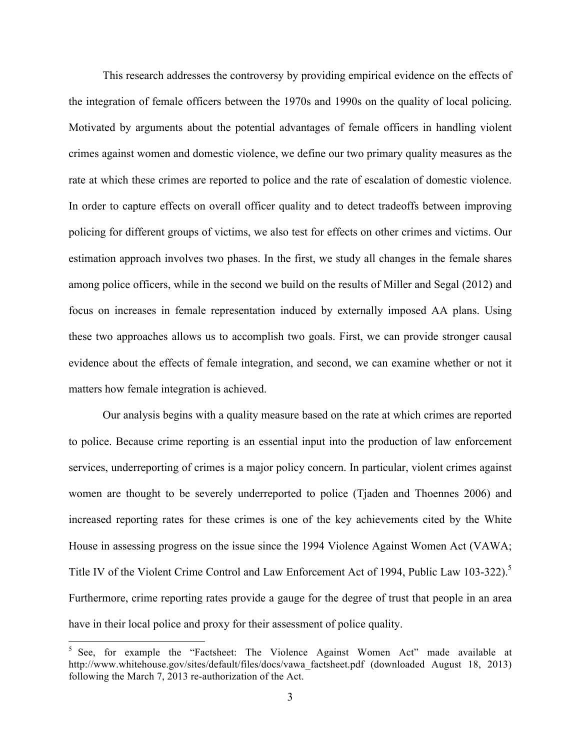This research addresses the controversy by providing empirical evidence on the effects of the integration of female officers between the 1970s and 1990s on the quality of local policing. Motivated by arguments about the potential advantages of female officers in handling violent crimes against women and domestic violence, we define our two primary quality measures as the rate at which these crimes are reported to police and the rate of escalation of domestic violence. In order to capture effects on overall officer quality and to detect tradeoffs between improving policing for different groups of victims, we also test for effects on other crimes and victims. Our estimation approach involves two phases. In the first, we study all changes in the female shares among police officers, while in the second we build on the results of Miller and Segal (2012) and focus on increases in female representation induced by externally imposed AA plans. Using these two approaches allows us to accomplish two goals. First, we can provide stronger causal evidence about the effects of female integration, and second, we can examine whether or not it matters how female integration is achieved.

Our analysis begins with a quality measure based on the rate at which crimes are reported to police. Because crime reporting is an essential input into the production of law enforcement services, underreporting of crimes is a major policy concern. In particular, violent crimes against women are thought to be severely underreported to police (Tjaden and Thoennes 2006) and increased reporting rates for these crimes is one of the key achievements cited by the White House in assessing progress on the issue since the 1994 Violence Against Women Act (VAWA; Title IV of the Violent Crime Control and Law Enforcement Act of 1994, Public Law 103-322).<sup>5</sup> Furthermore, crime reporting rates provide a gauge for the degree of trust that people in an area have in their local police and proxy for their assessment of police quality.

<sup>5</sup> See, for example the "Factsheet: The Violence Against Women Act" made available at http://www.whitehouse.gov/sites/default/files/docs/vawa\_factsheet.pdf (downloaded August 18, 2013) following the March 7, 2013 re-authorization of the Act.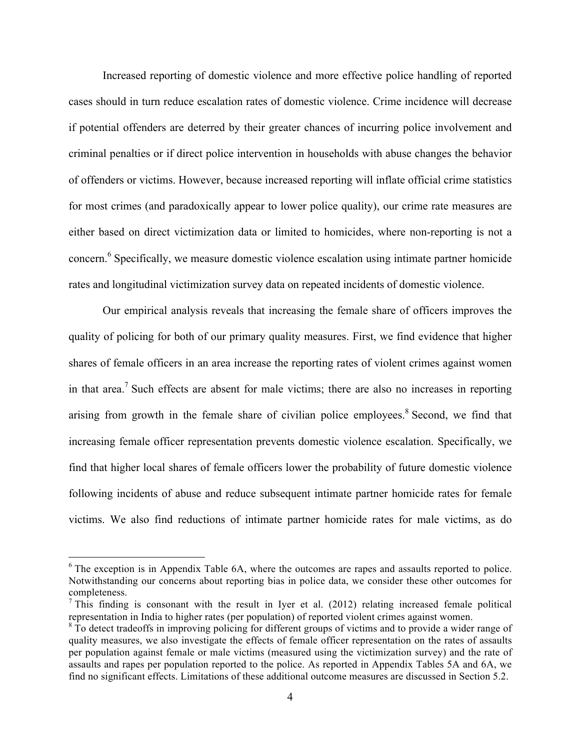Increased reporting of domestic violence and more effective police handling of reported cases should in turn reduce escalation rates of domestic violence. Crime incidence will decrease if potential offenders are deterred by their greater chances of incurring police involvement and criminal penalties or if direct police intervention in households with abuse changes the behavior of offenders or victims. However, because increased reporting will inflate official crime statistics for most crimes (and paradoxically appear to lower police quality), our crime rate measures are either based on direct victimization data or limited to homicides, where non-reporting is not a concern.<sup>6</sup> Specifically, we measure domestic violence escalation using intimate partner homicide rates and longitudinal victimization survey data on repeated incidents of domestic violence.

Our empirical analysis reveals that increasing the female share of officers improves the quality of policing for both of our primary quality measures. First, we find evidence that higher shares of female officers in an area increase the reporting rates of violent crimes against women in that area.7 Such effects are absent for male victims; there are also no increases in reporting arising from growth in the female share of civilian police employees.<sup>8</sup> Second, we find that increasing female officer representation prevents domestic violence escalation. Specifically, we find that higher local shares of female officers lower the probability of future domestic violence following incidents of abuse and reduce subsequent intimate partner homicide rates for female victims. We also find reductions of intimate partner homicide rates for male victims, as do

 $6$  The exception is in Appendix Table 6A, where the outcomes are rapes and assaults reported to police. Notwithstanding our concerns about reporting bias in police data, we consider these other outcomes for completeness.

 $<sup>7</sup>$  This finding is consonant with the result in Iyer et al. (2012) relating increased female political</sup> representation in India to higher rates (per population) of reported violent crimes against women.

<sup>&</sup>lt;sup>8</sup> To detect tradeoffs in improving policing for different groups of victims and to provide a wider range of quality measures, we also investigate the effects of female officer representation on the rates of assaults per population against female or male victims (measured using the victimization survey) and the rate of assaults and rapes per population reported to the police. As reported in Appendix Tables 5A and 6A, we find no significant effects. Limitations of these additional outcome measures are discussed in Section 5.2.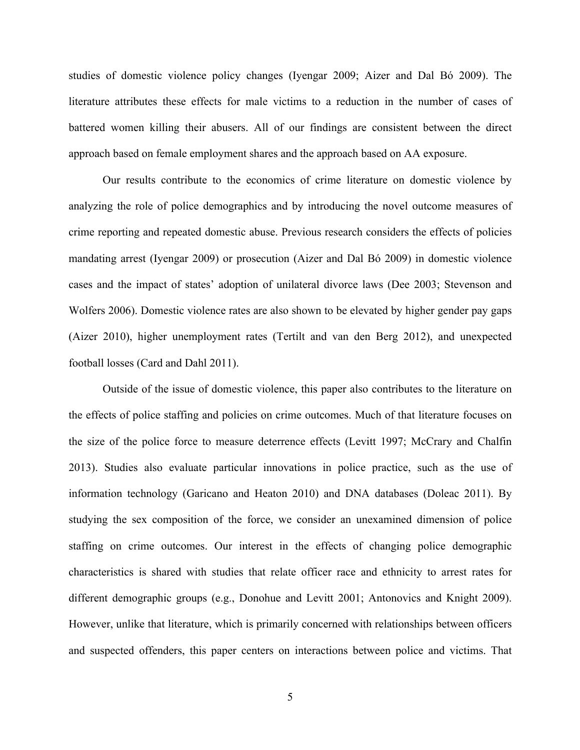studies of domestic violence policy changes (Iyengar 2009; Aizer and Dal Bó 2009). The literature attributes these effects for male victims to a reduction in the number of cases of battered women killing their abusers. All of our findings are consistent between the direct approach based on female employment shares and the approach based on AA exposure.

Our results contribute to the economics of crime literature on domestic violence by analyzing the role of police demographics and by introducing the novel outcome measures of crime reporting and repeated domestic abuse. Previous research considers the effects of policies mandating arrest (Iyengar 2009) or prosecution (Aizer and Dal Bó 2009) in domestic violence cases and the impact of states' adoption of unilateral divorce laws (Dee 2003; Stevenson and Wolfers 2006). Domestic violence rates are also shown to be elevated by higher gender pay gaps (Aizer 2010), higher unemployment rates (Tertilt and van den Berg 2012), and unexpected football losses (Card and Dahl 2011).

Outside of the issue of domestic violence, this paper also contributes to the literature on the effects of police staffing and policies on crime outcomes. Much of that literature focuses on the size of the police force to measure deterrence effects (Levitt 1997; McCrary and Chalfin 2013). Studies also evaluate particular innovations in police practice, such as the use of information technology (Garicano and Heaton 2010) and DNA databases (Doleac 2011). By studying the sex composition of the force, we consider an unexamined dimension of police staffing on crime outcomes. Our interest in the effects of changing police demographic characteristics is shared with studies that relate officer race and ethnicity to arrest rates for different demographic groups (e.g., Donohue and Levitt 2001; Antonovics and Knight 2009). However, unlike that literature, which is primarily concerned with relationships between officers and suspected offenders, this paper centers on interactions between police and victims. That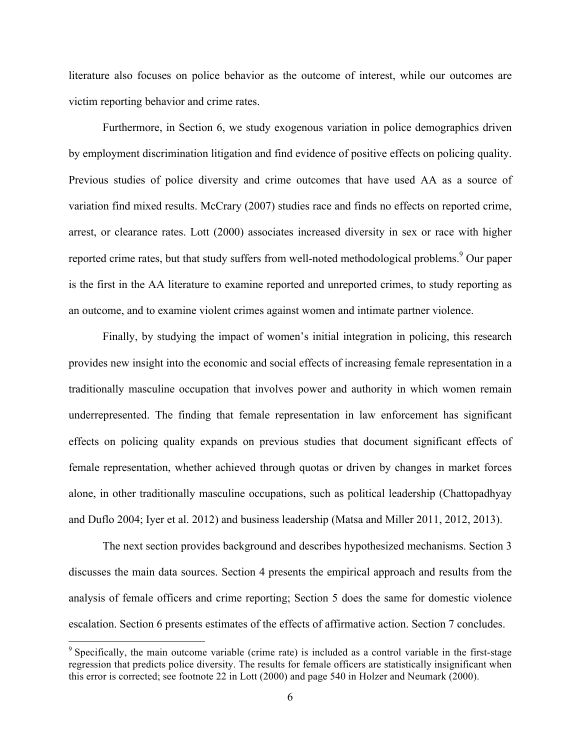literature also focuses on police behavior as the outcome of interest, while our outcomes are victim reporting behavior and crime rates.

Furthermore, in Section 6, we study exogenous variation in police demographics driven by employment discrimination litigation and find evidence of positive effects on policing quality. Previous studies of police diversity and crime outcomes that have used AA as a source of variation find mixed results. McCrary (2007) studies race and finds no effects on reported crime, arrest, or clearance rates. Lott (2000) associates increased diversity in sex or race with higher reported crime rates, but that study suffers from well-noted methodological problems.<sup>9</sup> Our paper is the first in the AA literature to examine reported and unreported crimes, to study reporting as an outcome, and to examine violent crimes against women and intimate partner violence.

Finally, by studying the impact of women's initial integration in policing, this research provides new insight into the economic and social effects of increasing female representation in a traditionally masculine occupation that involves power and authority in which women remain underrepresented. The finding that female representation in law enforcement has significant effects on policing quality expands on previous studies that document significant effects of female representation, whether achieved through quotas or driven by changes in market forces alone, in other traditionally masculine occupations, such as political leadership (Chattopadhyay and Duflo 2004; Iyer et al. 2012) and business leadership (Matsa and Miller 2011, 2012, 2013).

The next section provides background and describes hypothesized mechanisms. Section 3 discusses the main data sources. Section 4 presents the empirical approach and results from the analysis of female officers and crime reporting; Section 5 does the same for domestic violence escalation. Section 6 presents estimates of the effects of affirmative action. Section 7 concludes.

<sup>&</sup>lt;sup>9</sup> Specifically, the main outcome variable (crime rate) is included as a control variable in the first-stage regression that predicts police diversity. The results for female officers are statistically insignificant when this error is corrected; see footnote 22 in Lott (2000) and page 540 in Holzer and Neumark (2000).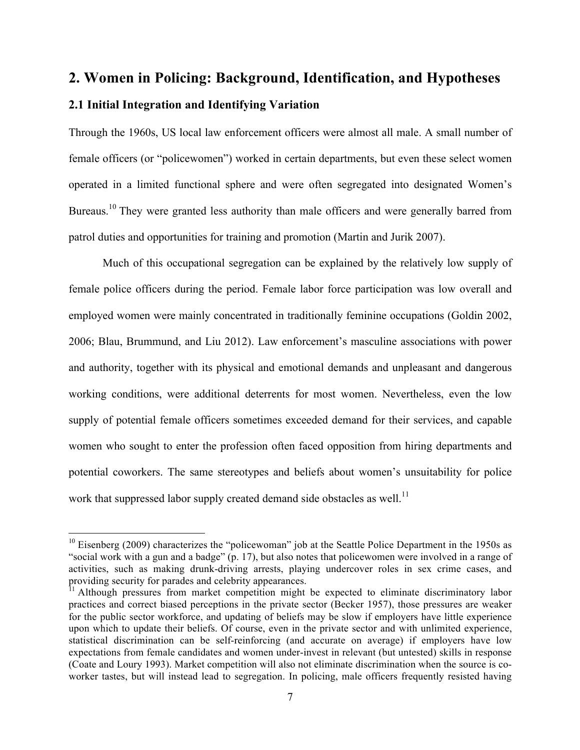## **2. Women in Policing: Background, Identification, and Hypotheses**

## **2.1 Initial Integration and Identifying Variation**

 

Through the 1960s, US local law enforcement officers were almost all male. A small number of female officers (or "policewomen") worked in certain departments, but even these select women operated in a limited functional sphere and were often segregated into designated Women's Bureaus.<sup>10</sup> They were granted less authority than male officers and were generally barred from patrol duties and opportunities for training and promotion (Martin and Jurik 2007).

Much of this occupational segregation can be explained by the relatively low supply of female police officers during the period. Female labor force participation was low overall and employed women were mainly concentrated in traditionally feminine occupations (Goldin 2002, 2006; Blau, Brummund, and Liu 2012). Law enforcement's masculine associations with power and authority, together with its physical and emotional demands and unpleasant and dangerous working conditions, were additional deterrents for most women. Nevertheless, even the low supply of potential female officers sometimes exceeded demand for their services, and capable women who sought to enter the profession often faced opposition from hiring departments and potential coworkers. The same stereotypes and beliefs about women's unsuitability for police work that suppressed labor supply created demand side obstacles as well.<sup>11</sup>

 $10$  Eisenberg (2009) characterizes the "policewoman" job at the Seattle Police Department in the 1950s as "social work with a gun and a badge" (p. 17), but also notes that policewomen were involved in a range of activities, such as making drunk-driving arrests, playing undercover roles in sex crime cases, and providing security for parades and celebrity appearances.

<sup>11</sup> Although pressures from market competition might be expected to eliminate discriminatory labor practices and correct biased perceptions in the private sector (Becker 1957), those pressures are weaker for the public sector workforce, and updating of beliefs may be slow if employers have little experience upon which to update their beliefs. Of course, even in the private sector and with unlimited experience, statistical discrimination can be self-reinforcing (and accurate on average) if employers have low expectations from female candidates and women under-invest in relevant (but untested) skills in response (Coate and Loury 1993). Market competition will also not eliminate discrimination when the source is coworker tastes, but will instead lead to segregation. In policing, male officers frequently resisted having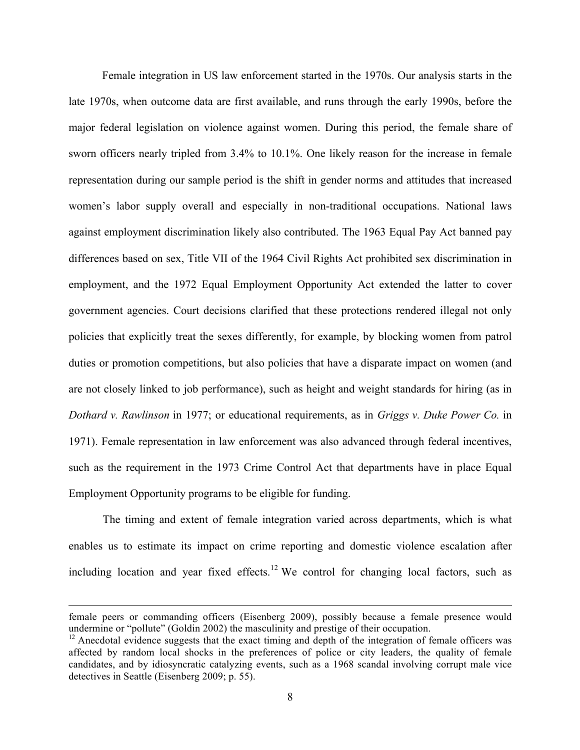Female integration in US law enforcement started in the 1970s. Our analysis starts in the late 1970s, when outcome data are first available, and runs through the early 1990s, before the major federal legislation on violence against women. During this period, the female share of sworn officers nearly tripled from 3.4% to 10.1%. One likely reason for the increase in female representation during our sample period is the shift in gender norms and attitudes that increased women's labor supply overall and especially in non-traditional occupations. National laws against employment discrimination likely also contributed. The 1963 Equal Pay Act banned pay differences based on sex, Title VII of the 1964 Civil Rights Act prohibited sex discrimination in employment, and the 1972 Equal Employment Opportunity Act extended the latter to cover government agencies. Court decisions clarified that these protections rendered illegal not only policies that explicitly treat the sexes differently, for example, by blocking women from patrol duties or promotion competitions, but also policies that have a disparate impact on women (and are not closely linked to job performance), such as height and weight standards for hiring (as in *Dothard v. Rawlinson* in 1977; or educational requirements, as in *Griggs v. Duke Power Co.* in 1971). Female representation in law enforcement was also advanced through federal incentives, such as the requirement in the 1973 Crime Control Act that departments have in place Equal Employment Opportunity programs to be eligible for funding.

The timing and extent of female integration varied across departments, which is what enables us to estimate its impact on crime reporting and domestic violence escalation after including location and year fixed effects.<sup>12</sup> We control for changing local factors, such as

<u> 1989 - Andrea San Andrea San Andrea San Andrea San Andrea San Andrea San Andrea San Andrea San Andrea San An</u>

female peers or commanding officers (Eisenberg 2009), possibly because a female presence would undermine or "pollute" (Goldin 2002) the masculinity and prestige of their occupation.

<sup>&</sup>lt;sup>12</sup> Anecdotal evidence suggests that the exact timing and depth of the integration of female officers was affected by random local shocks in the preferences of police or city leaders, the quality of female candidates, and by idiosyncratic catalyzing events, such as a 1968 scandal involving corrupt male vice detectives in Seattle (Eisenberg 2009; p. 55).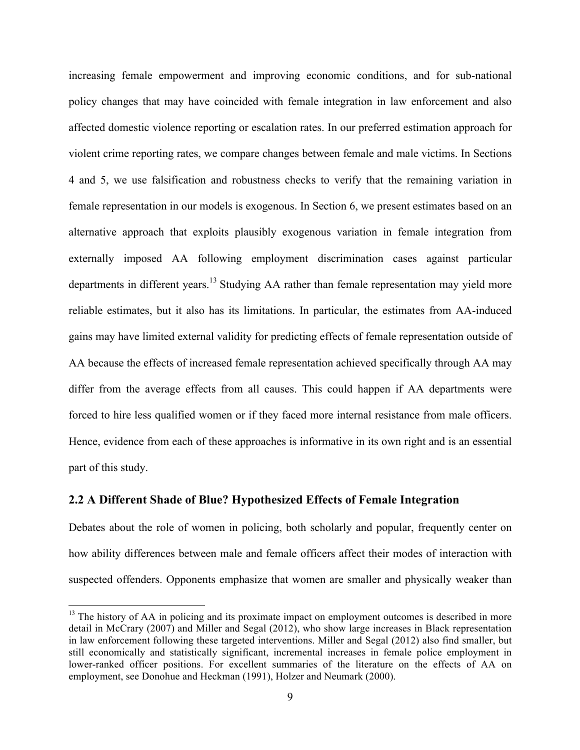increasing female empowerment and improving economic conditions, and for sub-national policy changes that may have coincided with female integration in law enforcement and also affected domestic violence reporting or escalation rates. In our preferred estimation approach for violent crime reporting rates, we compare changes between female and male victims. In Sections 4 and 5, we use falsification and robustness checks to verify that the remaining variation in female representation in our models is exogenous. In Section 6, we present estimates based on an alternative approach that exploits plausibly exogenous variation in female integration from externally imposed AA following employment discrimination cases against particular departments in different years.<sup>13</sup> Studying AA rather than female representation may yield more reliable estimates, but it also has its limitations. In particular, the estimates from AA-induced gains may have limited external validity for predicting effects of female representation outside of AA because the effects of increased female representation achieved specifically through AA may differ from the average effects from all causes. This could happen if AA departments were forced to hire less qualified women or if they faced more internal resistance from male officers. Hence, evidence from each of these approaches is informative in its own right and is an essential part of this study.

## **2.2 A Different Shade of Blue? Hypothesized Effects of Female Integration**

 

Debates about the role of women in policing, both scholarly and popular, frequently center on how ability differences between male and female officers affect their modes of interaction with suspected offenders. Opponents emphasize that women are smaller and physically weaker than

 $<sup>13</sup>$  The history of AA in policing and its proximate impact on employment outcomes is described in more</sup> detail in McCrary (2007) and Miller and Segal (2012), who show large increases in Black representation in law enforcement following these targeted interventions. Miller and Segal (2012) also find smaller, but still economically and statistically significant, incremental increases in female police employment in lower-ranked officer positions. For excellent summaries of the literature on the effects of AA on employment, see Donohue and Heckman (1991), Holzer and Neumark (2000).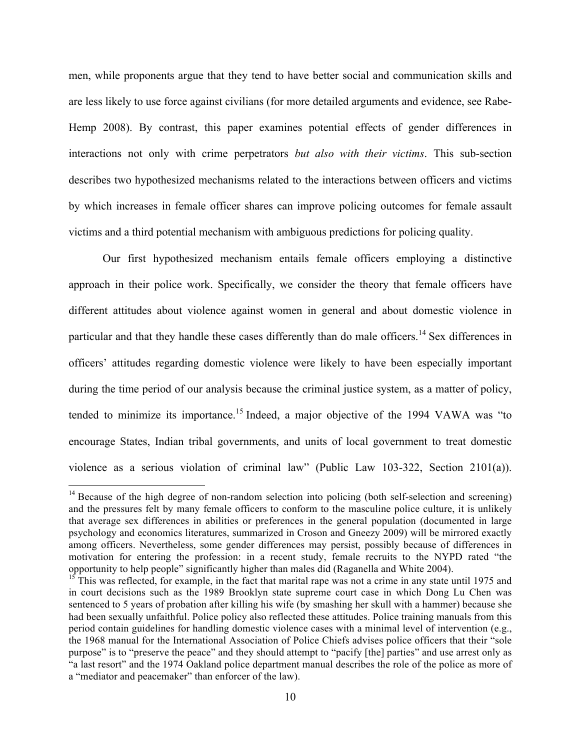men, while proponents argue that they tend to have better social and communication skills and are less likely to use force against civilians (for more detailed arguments and evidence, see Rabe-Hemp 2008). By contrast, this paper examines potential effects of gender differences in interactions not only with crime perpetrators *but also with their victims*. This sub-section describes two hypothesized mechanisms related to the interactions between officers and victims by which increases in female officer shares can improve policing outcomes for female assault victims and a third potential mechanism with ambiguous predictions for policing quality.

Our first hypothesized mechanism entails female officers employing a distinctive approach in their police work. Specifically, we consider the theory that female officers have different attitudes about violence against women in general and about domestic violence in particular and that they handle these cases differently than do male officers.<sup>14</sup> Sex differences in officers' attitudes regarding domestic violence were likely to have been especially important during the time period of our analysis because the criminal justice system, as a matter of policy, tended to minimize its importance. <sup>15</sup> Indeed, a major objective of the 1994 VAWA was "to encourage States, Indian tribal governments, and units of local government to treat domestic violence as a serious violation of criminal law" (Public Law 103-322, Section 2101(a)).

 $14$  Because of the high degree of non-random selection into policing (both self-selection and screening) and the pressures felt by many female officers to conform to the masculine police culture, it is unlikely that average sex differences in abilities or preferences in the general population (documented in large psychology and economics literatures, summarized in Croson and Gneezy 2009) will be mirrored exactly among officers. Nevertheless, some gender differences may persist, possibly because of differences in motivation for entering the profession: in a recent study, female recruits to the NYPD rated "the opportunity to help people" significantly higher than males did (Raganella and White 2004). <sup>15</sup> This was reflected, for example, in the fact that marital rape was not a crime in any state until 1975 and

in court decisions such as the 1989 Brooklyn state supreme court case in which Dong Lu Chen was sentenced to 5 years of probation after killing his wife (by smashing her skull with a hammer) because she had been sexually unfaithful. Police policy also reflected these attitudes. Police training manuals from this period contain guidelines for handling domestic violence cases with a minimal level of intervention (e.g., the 1968 manual for the International Association of Police Chiefs advises police officers that their "sole purpose" is to "preserve the peace" and they should attempt to "pacify [the] parties" and use arrest only as "a last resort" and the 1974 Oakland police department manual describes the role of the police as more of a "mediator and peacemaker" than enforcer of the law).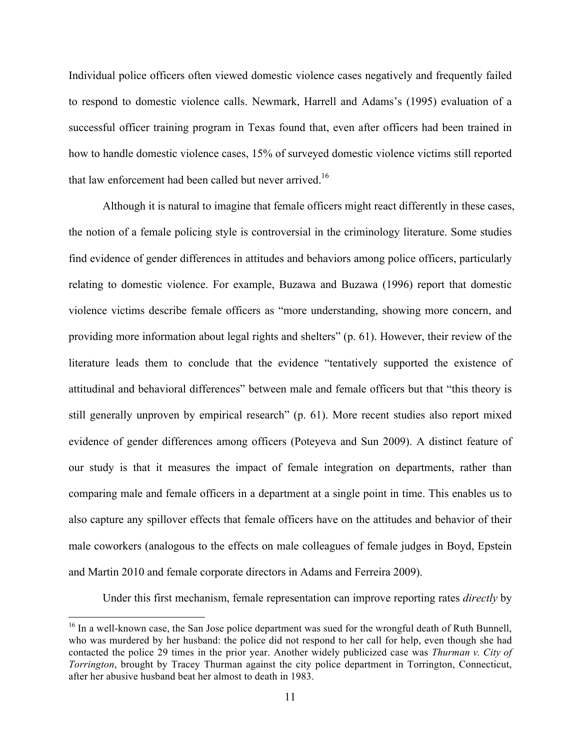Individual police officers often viewed domestic violence cases negatively and frequently failed to respond to domestic violence calls. Newmark, Harrell and Adams's (1995) evaluation of a successful officer training program in Texas found that, even after officers had been trained in how to handle domestic violence cases, 15% of surveyed domestic violence victims still reported that law enforcement had been called but never arrived.<sup>16</sup>

Although it is natural to imagine that female officers might react differently in these cases, the notion of a female policing style is controversial in the criminology literature. Some studies find evidence of gender differences in attitudes and behaviors among police officers, particularly relating to domestic violence. For example, Buzawa and Buzawa (1996) report that domestic violence victims describe female officers as "more understanding, showing more concern, and providing more information about legal rights and shelters" (p. 61). However, their review of the literature leads them to conclude that the evidence "tentatively supported the existence of attitudinal and behavioral differences" between male and female officers but that "this theory is still generally unproven by empirical research" (p. 61). More recent studies also report mixed evidence of gender differences among officers (Poteyeva and Sun 2009). A distinct feature of our study is that it measures the impact of female integration on departments, rather than comparing male and female officers in a department at a single point in time. This enables us to also capture any spillover effects that female officers have on the attitudes and behavior of their male coworkers (analogous to the effects on male colleagues of female judges in Boyd, Epstein and Martin 2010 and female corporate directors in Adams and Ferreira 2009).

Under this first mechanism, female representation can improve reporting rates *directly* by

<sup>&</sup>lt;sup>16</sup> In a well-known case, the San Jose police department was sued for the wrongful death of Ruth Bunnell, who was murdered by her husband: the police did not respond to her call for help, even though she had contacted the police 29 times in the prior year. Another widely publicized case was *Thurman v. City of Torrington*, brought by Tracey Thurman against the city police department in Torrington, Connecticut, after her abusive husband beat her almost to death in 1983.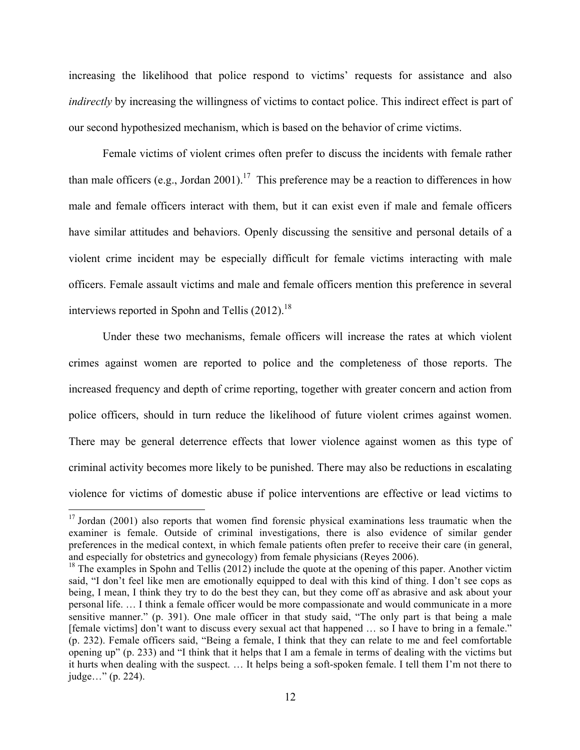increasing the likelihood that police respond to victims' requests for assistance and also *indirectly* by increasing the willingness of victims to contact police. This indirect effect is part of our second hypothesized mechanism, which is based on the behavior of crime victims.

Female victims of violent crimes often prefer to discuss the incidents with female rather than male officers (e.g., Jordan 2001).<sup>17</sup> This preference may be a reaction to differences in how male and female officers interact with them, but it can exist even if male and female officers have similar attitudes and behaviors. Openly discussing the sensitive and personal details of a violent crime incident may be especially difficult for female victims interacting with male officers. Female assault victims and male and female officers mention this preference in several interviews reported in Spohn and Tellis  $(2012)$ .<sup>18</sup>

Under these two mechanisms, female officers will increase the rates at which violent crimes against women are reported to police and the completeness of those reports. The increased frequency and depth of crime reporting, together with greater concern and action from police officers, should in turn reduce the likelihood of future violent crimes against women. There may be general deterrence effects that lower violence against women as this type of criminal activity becomes more likely to be punished. There may also be reductions in escalating violence for victims of domestic abuse if police interventions are effective or lead victims to

 $17$  Jordan (2001) also reports that women find forensic physical examinations less traumatic when the examiner is female. Outside of criminal investigations, there is also evidence of similar gender preferences in the medical context, in which female patients often prefer to receive their care (in general, and especially for obstetrics and gynecology) from female physicians (Reyes 2006).

<sup>&</sup>lt;sup>18</sup> The examples in Spohn and Tellis (2012) include the quote at the opening of this paper. Another victim said, "I don't feel like men are emotionally equipped to deal with this kind of thing. I don't see cops as being, I mean, I think they try to do the best they can, but they come off as abrasive and ask about your personal life. … I think a female officer would be more compassionate and would communicate in a more sensitive manner." (p. 391). One male officer in that study said, "The only part is that being a male [female victims] don't want to discuss every sexual act that happened … so I have to bring in a female." (p. 232). Female officers said, "Being a female, I think that they can relate to me and feel comfortable opening up" (p. 233) and "I think that it helps that I am a female in terms of dealing with the victims but it hurts when dealing with the suspect. … It helps being a soft-spoken female. I tell them I'm not there to judge…" (p. 224).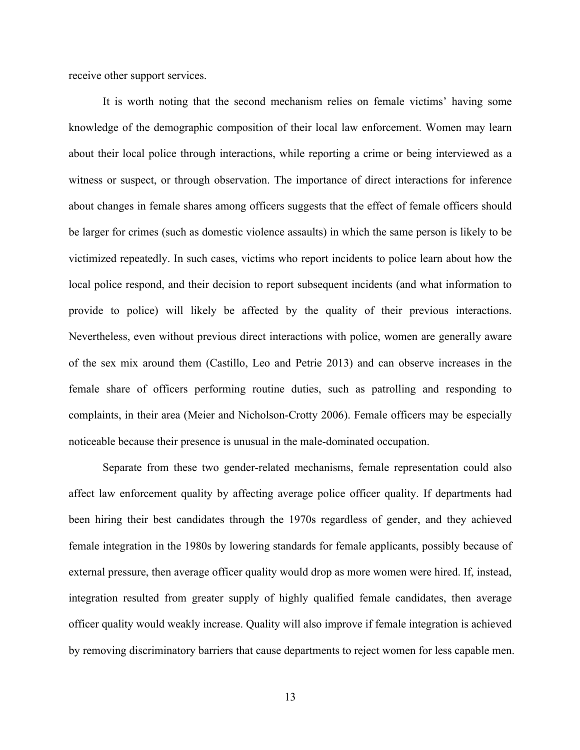receive other support services.

It is worth noting that the second mechanism relies on female victims' having some knowledge of the demographic composition of their local law enforcement. Women may learn about their local police through interactions, while reporting a crime or being interviewed as a witness or suspect, or through observation. The importance of direct interactions for inference about changes in female shares among officers suggests that the effect of female officers should be larger for crimes (such as domestic violence assaults) in which the same person is likely to be victimized repeatedly. In such cases, victims who report incidents to police learn about how the local police respond, and their decision to report subsequent incidents (and what information to provide to police) will likely be affected by the quality of their previous interactions. Nevertheless, even without previous direct interactions with police, women are generally aware of the sex mix around them (Castillo, Leo and Petrie 2013) and can observe increases in the female share of officers performing routine duties, such as patrolling and responding to complaints, in their area (Meier and Nicholson-Crotty 2006). Female officers may be especially noticeable because their presence is unusual in the male-dominated occupation.

Separate from these two gender-related mechanisms, female representation could also affect law enforcement quality by affecting average police officer quality. If departments had been hiring their best candidates through the 1970s regardless of gender, and they achieved female integration in the 1980s by lowering standards for female applicants, possibly because of external pressure, then average officer quality would drop as more women were hired. If, instead, integration resulted from greater supply of highly qualified female candidates, then average officer quality would weakly increase. Quality will also improve if female integration is achieved by removing discriminatory barriers that cause departments to reject women for less capable men.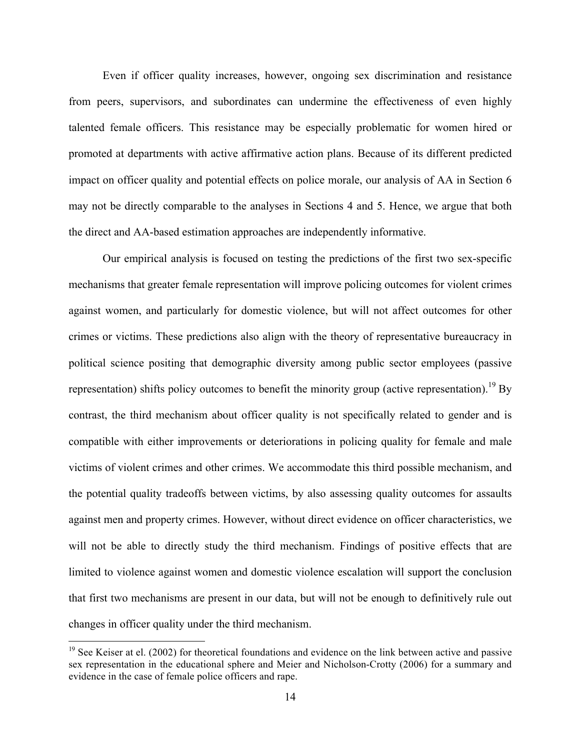Even if officer quality increases, however, ongoing sex discrimination and resistance from peers, supervisors, and subordinates can undermine the effectiveness of even highly talented female officers. This resistance may be especially problematic for women hired or promoted at departments with active affirmative action plans. Because of its different predicted impact on officer quality and potential effects on police morale, our analysis of AA in Section 6 may not be directly comparable to the analyses in Sections 4 and 5. Hence, we argue that both the direct and AA-based estimation approaches are independently informative.

Our empirical analysis is focused on testing the predictions of the first two sex-specific mechanisms that greater female representation will improve policing outcomes for violent crimes against women, and particularly for domestic violence, but will not affect outcomes for other crimes or victims. These predictions also align with the theory of representative bureaucracy in political science positing that demographic diversity among public sector employees (passive representation) shifts policy outcomes to benefit the minority group (active representation).<sup>19</sup> By contrast, the third mechanism about officer quality is not specifically related to gender and is compatible with either improvements or deteriorations in policing quality for female and male victims of violent crimes and other crimes. We accommodate this third possible mechanism, and the potential quality tradeoffs between victims, by also assessing quality outcomes for assaults against men and property crimes. However, without direct evidence on officer characteristics, we will not be able to directly study the third mechanism. Findings of positive effects that are limited to violence against women and domestic violence escalation will support the conclusion that first two mechanisms are present in our data, but will not be enough to definitively rule out changes in officer quality under the third mechanism.

<sup>&</sup>lt;sup>19</sup> See Keiser at el. (2002) for theoretical foundations and evidence on the link between active and passive sex representation in the educational sphere and Meier and Nicholson-Crotty (2006) for a summary and evidence in the case of female police officers and rape.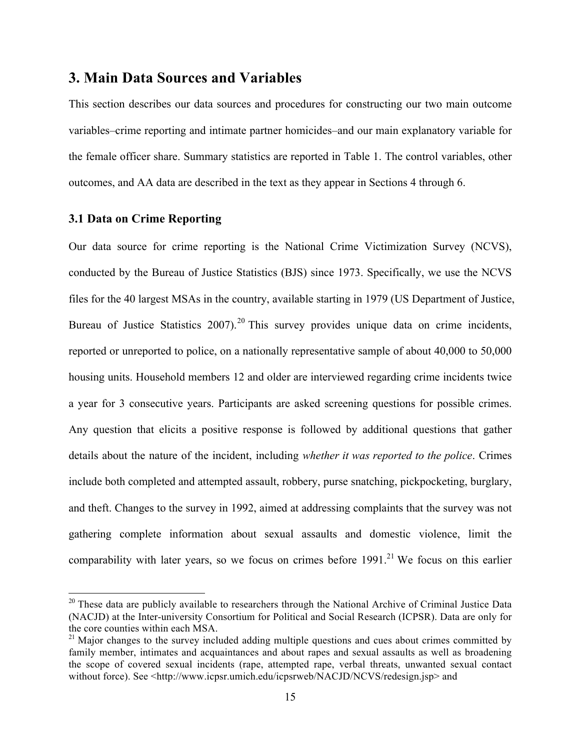## **3. Main Data Sources and Variables**

This section describes our data sources and procedures for constructing our two main outcome variables–crime reporting and intimate partner homicides–and our main explanatory variable for the female officer share. Summary statistics are reported in Table 1. The control variables, other outcomes, and AA data are described in the text as they appear in Sections 4 through 6.

## **3.1 Data on Crime Reporting**

 

Our data source for crime reporting is the National Crime Victimization Survey (NCVS), conducted by the Bureau of Justice Statistics (BJS) since 1973. Specifically, we use the NCVS files for the 40 largest MSAs in the country, available starting in 1979 (US Department of Justice, Bureau of Justice Statistics  $2007$ ).<sup>20</sup> This survey provides unique data on crime incidents, reported or unreported to police, on a nationally representative sample of about 40,000 to 50,000 housing units. Household members 12 and older are interviewed regarding crime incidents twice a year for 3 consecutive years. Participants are asked screening questions for possible crimes. Any question that elicits a positive response is followed by additional questions that gather details about the nature of the incident, including *whether it was reported to the police*. Crimes include both completed and attempted assault, robbery, purse snatching, pickpocketing, burglary, and theft. Changes to the survey in 1992, aimed at addressing complaints that the survey was not gathering complete information about sexual assaults and domestic violence, limit the comparability with later years, so we focus on crimes before  $1991<sup>21</sup>$  We focus on this earlier

 $20$  These data are publicly available to researchers through the National Archive of Criminal Justice Data (NACJD) at the Inter-university Consortium for Political and Social Research (ICPSR). Data are only for the core counties within each MSA.

<sup>&</sup>lt;sup>21</sup> Major changes to the survey included adding multiple questions and cues about crimes committed by family member, intimates and acquaintances and about rapes and sexual assaults as well as broadening the scope of covered sexual incidents (rape, attempted rape, verbal threats, unwanted sexual contact without force). See <http://www.icpsr.umich.edu/icpsrweb/NACJD/NCVS/redesign.jsp> and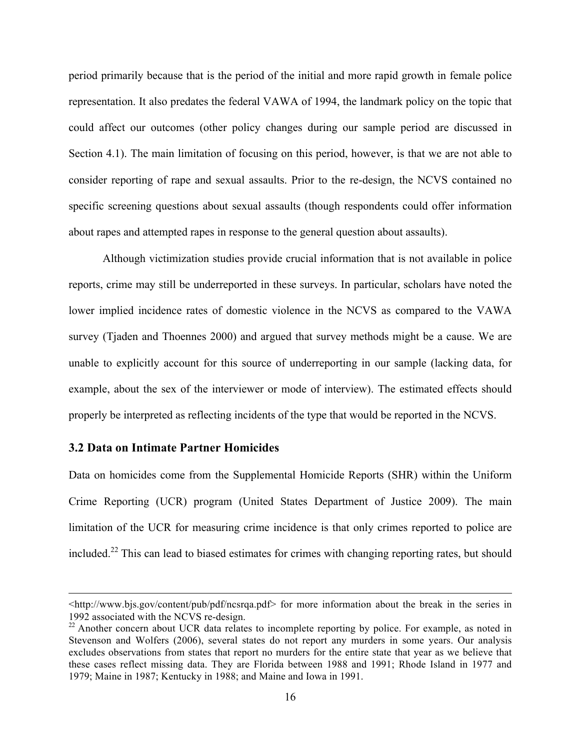period primarily because that is the period of the initial and more rapid growth in female police representation. It also predates the federal VAWA of 1994, the landmark policy on the topic that could affect our outcomes (other policy changes during our sample period are discussed in Section 4.1). The main limitation of focusing on this period, however, is that we are not able to consider reporting of rape and sexual assaults. Prior to the re-design, the NCVS contained no specific screening questions about sexual assaults (though respondents could offer information about rapes and attempted rapes in response to the general question about assaults).

Although victimization studies provide crucial information that is not available in police reports, crime may still be underreported in these surveys. In particular, scholars have noted the lower implied incidence rates of domestic violence in the NCVS as compared to the VAWA survey (Tjaden and Thoennes 2000) and argued that survey methods might be a cause. We are unable to explicitly account for this source of underreporting in our sample (lacking data, for example, about the sex of the interviewer or mode of interview). The estimated effects should properly be interpreted as reflecting incidents of the type that would be reported in the NCVS.

## **3.2 Data on Intimate Partner Homicides**

Data on homicides come from the Supplemental Homicide Reports (SHR) within the Uniform Crime Reporting (UCR) program (United States Department of Justice 2009). The main limitation of the UCR for measuring crime incidence is that only crimes reported to police are included.<sup>22</sup> This can lead to biased estimates for crimes with changing reporting rates, but should

<u> 1989 - Andrea San Andrea San Andrea San Andrea San Andrea San Andrea San Andrea San Andrea San Andrea San An</u>

<sup>&</sup>lt;http://www.bjs.gov/content/pub/pdf/ncsrqa.pdf> for more information about the break in the series in 1992 associated with the NCVS re-design.

 $22$  Another concern about UCR data relates to incomplete reporting by police. For example, as noted in Stevenson and Wolfers (2006), several states do not report any murders in some years. Our analysis excludes observations from states that report no murders for the entire state that year as we believe that these cases reflect missing data. They are Florida between 1988 and 1991; Rhode Island in 1977 and 1979; Maine in 1987; Kentucky in 1988; and Maine and Iowa in 1991.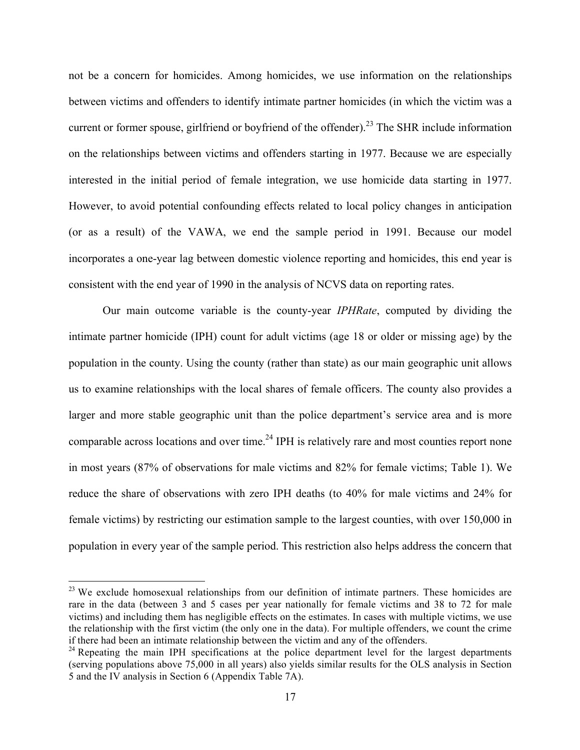not be a concern for homicides. Among homicides, we use information on the relationships between victims and offenders to identify intimate partner homicides (in which the victim was a current or former spouse, girlfriend or boyfriend of the offender).<sup>23</sup> The SHR include information on the relationships between victims and offenders starting in 1977. Because we are especially interested in the initial period of female integration, we use homicide data starting in 1977. However, to avoid potential confounding effects related to local policy changes in anticipation (or as a result) of the VAWA, we end the sample period in 1991. Because our model incorporates a one-year lag between domestic violence reporting and homicides, this end year is consistent with the end year of 1990 in the analysis of NCVS data on reporting rates.

Our main outcome variable is the county-year *IPHRate*, computed by dividing the intimate partner homicide (IPH) count for adult victims (age 18 or older or missing age) by the population in the county. Using the county (rather than state) as our main geographic unit allows us to examine relationships with the local shares of female officers. The county also provides a larger and more stable geographic unit than the police department's service area and is more comparable across locations and over time.<sup>24</sup> IPH is relatively rare and most counties report none in most years (87% of observations for male victims and 82% for female victims; Table 1). We reduce the share of observations with zero IPH deaths (to 40% for male victims and 24% for female victims) by restricting our estimation sample to the largest counties, with over 150,000 in population in every year of the sample period. This restriction also helps address the concern that

<sup>&</sup>lt;sup>23</sup> We exclude homosexual relationships from our definition of intimate partners. These homicides are rare in the data (between 3 and 5 cases per year nationally for female victims and 38 to 72 for male victims) and including them has negligible effects on the estimates. In cases with multiple victims, we use the relationship with the first victim (the only one in the data). For multiple offenders, we count the crime if there had been an intimate relationship between the victim and any of the offenders.

 $24$  Repeating the main IPH specifications at the police department level for the largest departments (serving populations above 75,000 in all years) also yields similar results for the OLS analysis in Section 5 and the IV analysis in Section 6 (Appendix Table 7A).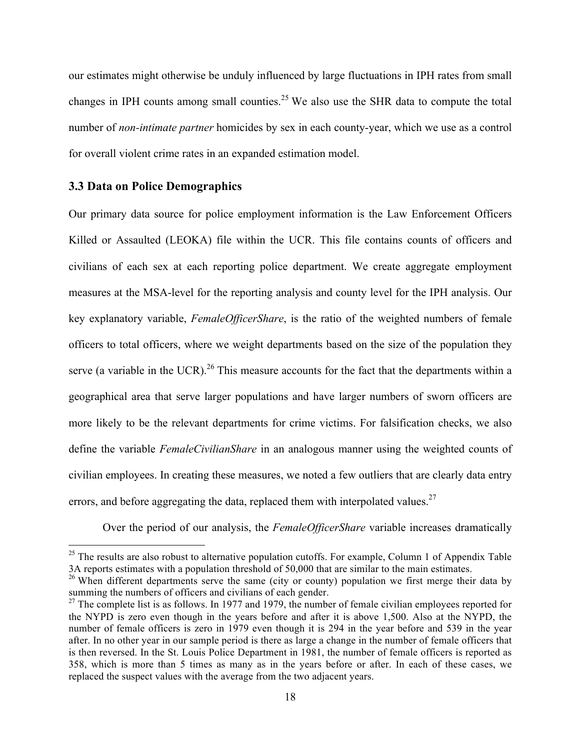our estimates might otherwise be unduly influenced by large fluctuations in IPH rates from small changes in IPH counts among small counties.<sup>25</sup> We also use the SHR data to compute the total number of *non-intimate partner* homicides by sex in each county-year, which we use as a control for overall violent crime rates in an expanded estimation model.

## **3.3 Data on Police Demographics**

Our primary data source for police employment information is the Law Enforcement Officers Killed or Assaulted (LEOKA) file within the UCR. This file contains counts of officers and civilians of each sex at each reporting police department. We create aggregate employment measures at the MSA-level for the reporting analysis and county level for the IPH analysis. Our key explanatory variable, *FemaleOfficerShare*, is the ratio of the weighted numbers of female officers to total officers, where we weight departments based on the size of the population they serve (a variable in the UCR).<sup>26</sup> This measure accounts for the fact that the departments within a geographical area that serve larger populations and have larger numbers of sworn officers are more likely to be the relevant departments for crime victims. For falsification checks, we also define the variable *FemaleCivilianShare* in an analogous manner using the weighted counts of civilian employees. In creating these measures, we noted a few outliers that are clearly data entry errors, and before aggregating the data, replaced them with interpolated values.<sup>27</sup>

Over the period of our analysis, the *FemaleOfficerShare* variable increases dramatically

 $25$  The results are also robust to alternative population cutoffs. For example, Column 1 of Appendix Table 3A reports estimates with a population threshold of 50,000 that are similar to the main estimates.

<sup>&</sup>lt;sup>26</sup> When different departments serve the same (city or county) population we first merge their data by summing the numbers of officers and civilians of each gender.

 $27$  The complete list is as follows. In 1977 and 1979, the number of female civilian employees reported for the NYPD is zero even though in the years before and after it is above 1,500. Also at the NYPD, the number of female officers is zero in 1979 even though it is 294 in the year before and 539 in the year after. In no other year in our sample period is there as large a change in the number of female officers that is then reversed. In the St. Louis Police Department in 1981, the number of female officers is reported as 358, which is more than 5 times as many as in the years before or after. In each of these cases, we replaced the suspect values with the average from the two adjacent years.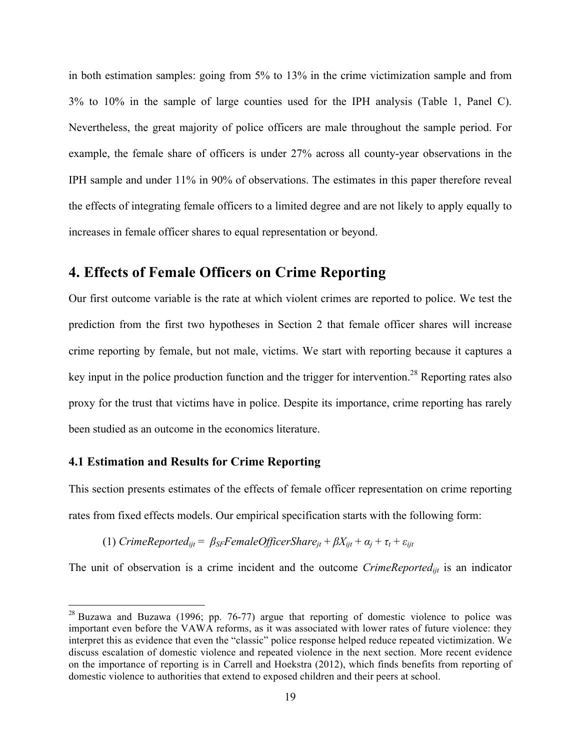in both estimation samples: going from 5% to 13% in the crime victimization sample and from 3% to 10% in the sample of large counties used for the IPH analysis (Table 1, Panel C). Nevertheless, the great majority of police officers are male throughout the sample period. For example, the female share of officers is under 27% across all county-year observations in the IPH sample and under 11% in 90% of observations. The estimates in this paper therefore reveal the effects of integrating female officers to a limited degree and are not likely to apply equally to increases in female officer shares to equal representation or beyond.

## **4. Effects of Female Officers on Crime Reporting**

Our first outcome variable is the rate at which violent crimes are reported to police. We test the prediction from the first two hypotheses in Section 2 that female officer shares will increase crime reporting by female, but not male, victims. We start with reporting because it captures a key input in the police production function and the trigger for intervention.<sup>28</sup> Reporting rates also proxy for the trust that victims have in police. Despite its importance, crime reporting has rarely been studied as an outcome in the economics literature.

### **4.1 Estimation and Results for Crime Reporting**

 

This section presents estimates of the effects of female officer representation on crime reporting rates from fixed effects models. Our empirical specification starts with the following form:

(1) *CrimeReported<sub>iit</sub>* =  $\beta_{SF}$ *FemaleOfficerShare<sub>it</sub></sub> +*  $\beta X_{ijt}$  *+*  $\alpha_i$  *+*  $\tau_t$  *+*  $\varepsilon_{ijt}$ 

The unit of observation is a crime incident and the outcome *CrimeReportedijt* is an indicator

 $28$  Buzawa and Buzawa (1996; pp. 76-77) argue that reporting of domestic violence to police was important even before the VAWA reforms, as it was associated with lower rates of future violence: they interpret this as evidence that even the "classic" police response helped reduce repeated victimization. We discuss escalation of domestic violence and repeated violence in the next section. More recent evidence on the importance of reporting is in Carrell and Hoekstra (2012), which finds benefits from reporting of domestic violence to authorities that extend to exposed children and their peers at school.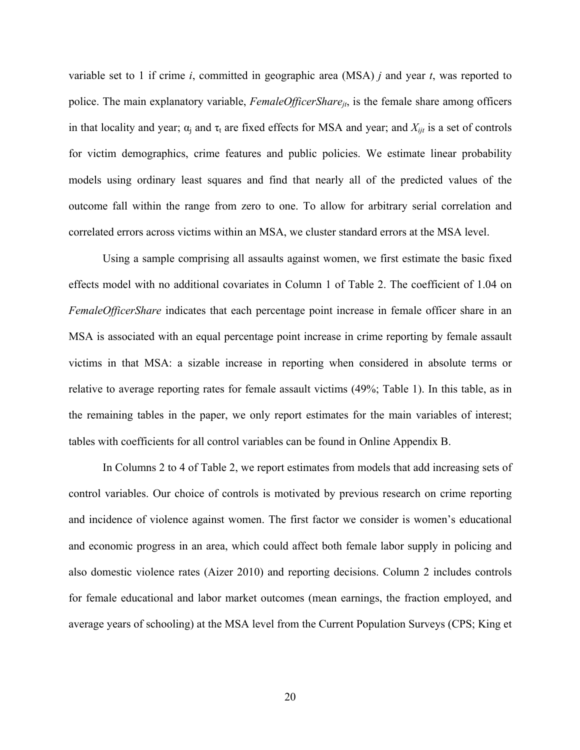variable set to 1 if crime *i*, committed in geographic area (MSA) *j* and year *t*, was reported to police. The main explanatory variable, *FemaleOfficerSharejt*, is the female share among officers in that locality and year;  $\alpha_i$  and  $\tau_t$  are fixed effects for MSA and year; and  $X_{ijt}$  is a set of controls for victim demographics, crime features and public policies. We estimate linear probability models using ordinary least squares and find that nearly all of the predicted values of the outcome fall within the range from zero to one. To allow for arbitrary serial correlation and correlated errors across victims within an MSA, we cluster standard errors at the MSA level.

Using a sample comprising all assaults against women, we first estimate the basic fixed effects model with no additional covariates in Column 1 of Table 2. The coefficient of 1.04 on *FemaleOfficerShare* indicates that each percentage point increase in female officer share in an MSA is associated with an equal percentage point increase in crime reporting by female assault victims in that MSA: a sizable increase in reporting when considered in absolute terms or relative to average reporting rates for female assault victims (49%; Table 1). In this table, as in the remaining tables in the paper, we only report estimates for the main variables of interest; tables with coefficients for all control variables can be found in Online Appendix B.

In Columns 2 to 4 of Table 2, we report estimates from models that add increasing sets of control variables. Our choice of controls is motivated by previous research on crime reporting and incidence of violence against women. The first factor we consider is women's educational and economic progress in an area, which could affect both female labor supply in policing and also domestic violence rates (Aizer 2010) and reporting decisions. Column 2 includes controls for female educational and labor market outcomes (mean earnings, the fraction employed, and average years of schooling) at the MSA level from the Current Population Surveys (CPS; King et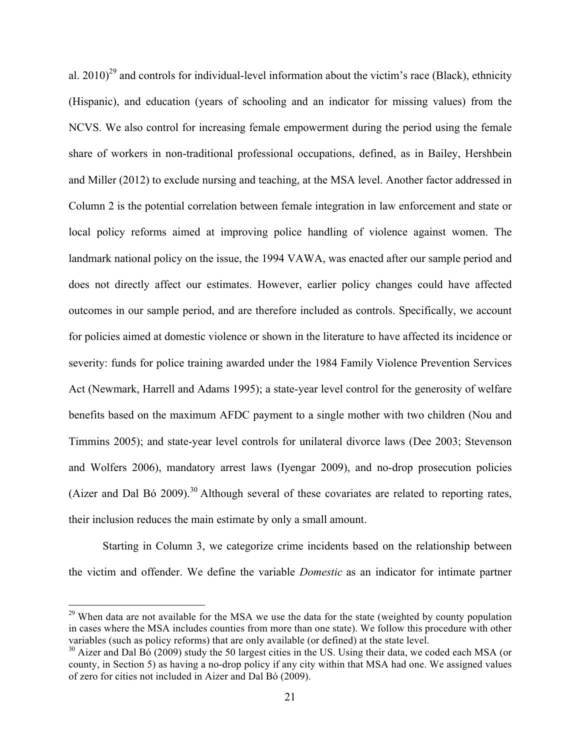al. 2010)<sup>29</sup> and controls for individual-level information about the victim's race (Black), ethnicity (Hispanic), and education (years of schooling and an indicator for missing values) from the NCVS. We also control for increasing female empowerment during the period using the female share of workers in non-traditional professional occupations, defined, as in Bailey, Hershbein and Miller (2012) to exclude nursing and teaching, at the MSA level. Another factor addressed in Column 2 is the potential correlation between female integration in law enforcement and state or local policy reforms aimed at improving police handling of violence against women. The landmark national policy on the issue, the 1994 VAWA, was enacted after our sample period and does not directly affect our estimates. However, earlier policy changes could have affected outcomes in our sample period, and are therefore included as controls. Specifically, we account for policies aimed at domestic violence or shown in the literature to have affected its incidence or severity: funds for police training awarded under the 1984 Family Violence Prevention Services Act (Newmark, Harrell and Adams 1995); a state-year level control for the generosity of welfare benefits based on the maximum AFDC payment to a single mother with two children (Nou and Timmins 2005); and state-year level controls for unilateral divorce laws (Dee 2003; Stevenson and Wolfers 2006), mandatory arrest laws (Iyengar 2009), and no-drop prosecution policies (Aizer and Dal Bó 2009).<sup>30</sup> Although several of these covariates are related to reporting rates, their inclusion reduces the main estimate by only a small amount.

Starting in Column 3, we categorize crime incidents based on the relationship between the victim and offender. We define the variable *Domestic* as an indicator for intimate partner

 $29$  When data are not available for the MSA we use the data for the state (weighted by county population in cases where the MSA includes counties from more than one state). We follow this procedure with other variables (such as policy reforms) that are only available (or defined) at the state level.

 $30$  Aizer and Dal Bó (2009) study the 50 largest cities in the US. Using their data, we coded each MSA (or county, in Section 5) as having a no-drop policy if any city within that MSA had one. We assigned values of zero for cities not included in Aizer and Dal Bó (2009).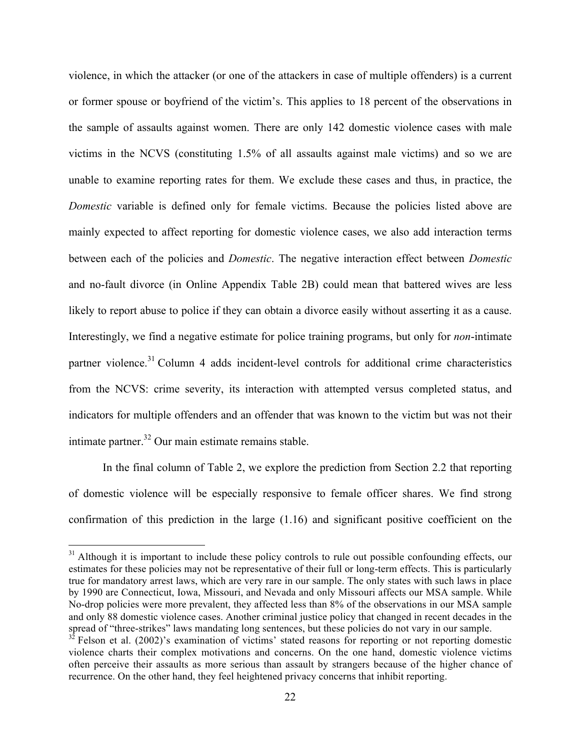violence, in which the attacker (or one of the attackers in case of multiple offenders) is a current or former spouse or boyfriend of the victim's. This applies to 18 percent of the observations in the sample of assaults against women. There are only 142 domestic violence cases with male victims in the NCVS (constituting 1.5% of all assaults against male victims) and so we are unable to examine reporting rates for them. We exclude these cases and thus, in practice, the *Domestic* variable is defined only for female victims. Because the policies listed above are mainly expected to affect reporting for domestic violence cases, we also add interaction terms between each of the policies and *Domestic*. The negative interaction effect between *Domestic* and no-fault divorce (in Online Appendix Table 2B) could mean that battered wives are less likely to report abuse to police if they can obtain a divorce easily without asserting it as a cause. Interestingly, we find a negative estimate for police training programs, but only for *non*-intimate partner violence.<sup>31</sup> Column 4 adds incident-level controls for additional crime characteristics from the NCVS: crime severity, its interaction with attempted versus completed status, and indicators for multiple offenders and an offender that was known to the victim but was not their intimate partner. <sup>32</sup> Our main estimate remains stable.

In the final column of Table 2, we explore the prediction from Section 2.2 that reporting of domestic violence will be especially responsive to female officer shares. We find strong confirmation of this prediction in the large (1.16) and significant positive coefficient on the

 $31$  Although it is important to include these policy controls to rule out possible confounding effects, our estimates for these policies may not be representative of their full or long-term effects. This is particularly true for mandatory arrest laws, which are very rare in our sample. The only states with such laws in place by 1990 are Connecticut, Iowa, Missouri, and Nevada and only Missouri affects our MSA sample. While No-drop policies were more prevalent, they affected less than 8% of the observations in our MSA sample and only 88 domestic violence cases. Another criminal justice policy that changed in recent decades in the spread of "three-strikes" laws mandating long sentences, but these policies do not vary in our sample.

 $3<sup>2</sup>$  Felson et al. (2002)'s examination of victims' stated reasons for reporting or not reporting domestic violence charts their complex motivations and concerns. On the one hand, domestic violence victims often perceive their assaults as more serious than assault by strangers because of the higher chance of recurrence. On the other hand, they feel heightened privacy concerns that inhibit reporting.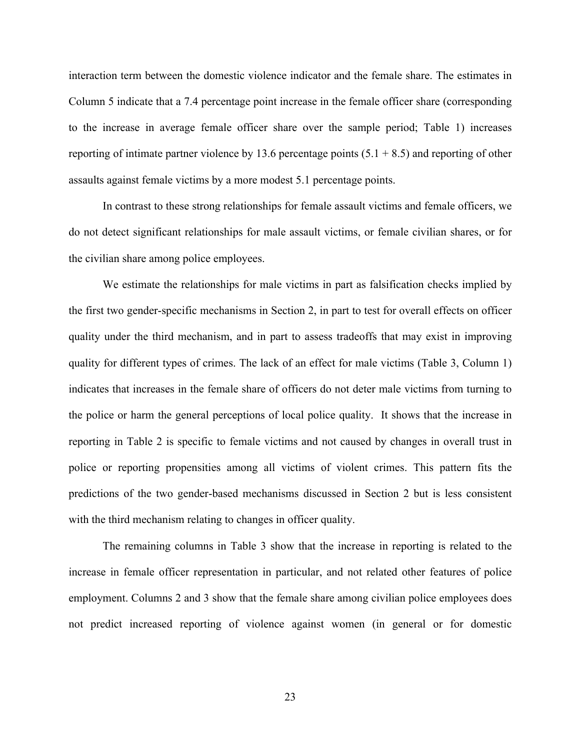interaction term between the domestic violence indicator and the female share. The estimates in Column 5 indicate that a 7.4 percentage point increase in the female officer share (corresponding to the increase in average female officer share over the sample period; Table 1) increases reporting of intimate partner violence by 13.6 percentage points  $(5.1 + 8.5)$  and reporting of other assaults against female victims by a more modest 5.1 percentage points.

In contrast to these strong relationships for female assault victims and female officers, we do not detect significant relationships for male assault victims, or female civilian shares, or for the civilian share among police employees.

We estimate the relationships for male victims in part as falsification checks implied by the first two gender-specific mechanisms in Section 2, in part to test for overall effects on officer quality under the third mechanism, and in part to assess tradeoffs that may exist in improving quality for different types of crimes. The lack of an effect for male victims (Table 3, Column 1) indicates that increases in the female share of officers do not deter male victims from turning to the police or harm the general perceptions of local police quality. It shows that the increase in reporting in Table 2 is specific to female victims and not caused by changes in overall trust in police or reporting propensities among all victims of violent crimes. This pattern fits the predictions of the two gender-based mechanisms discussed in Section 2 but is less consistent with the third mechanism relating to changes in officer quality.

The remaining columns in Table 3 show that the increase in reporting is related to the increase in female officer representation in particular, and not related other features of police employment. Columns 2 and 3 show that the female share among civilian police employees does not predict increased reporting of violence against women (in general or for domestic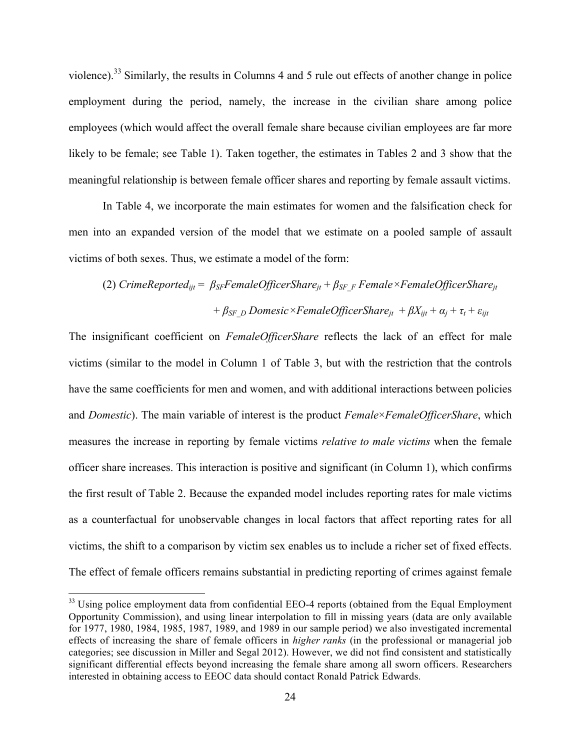violence).<sup>33</sup> Similarly, the results in Columns 4 and 5 rule out effects of another change in police employment during the period, namely, the increase in the civilian share among police employees (which would affect the overall female share because civilian employees are far more likely to be female; see Table 1). Taken together, the estimates in Tables 2 and 3 show that the meaningful relationship is between female officer shares and reporting by female assault victims.

In Table 4, we incorporate the main estimates for women and the falsification check for men into an expanded version of the model that we estimate on a pooled sample of assault victims of both sexes. Thus, we estimate a model of the form:

# (2) *CrimeReportedijt* = *βSFFemaleOfficerSharejt* + *βSF\_F Female×FemaleOfficerSharejt*  $+ \beta_{SF}$ <sub>*D*</sub> Domesic×FemaleOfficerShare<sub>it</sub></sub> +  $\beta X_{ijt}$  +  $\alpha_i$  +  $\tau_t$  +  $\varepsilon_{ijt}$

The insignificant coefficient on *FemaleOfficerShare* reflects the lack of an effect for male victims (similar to the model in Column 1 of Table 3, but with the restriction that the controls have the same coefficients for men and women, and with additional interactions between policies and *Domestic*). The main variable of interest is the product *Female*×*FemaleOfficerShare*, which measures the increase in reporting by female victims *relative to male victims* when the female officer share increases. This interaction is positive and significant (in Column 1), which confirms the first result of Table 2. Because the expanded model includes reporting rates for male victims as a counterfactual for unobservable changes in local factors that affect reporting rates for all victims, the shift to a comparison by victim sex enables us to include a richer set of fixed effects. The effect of female officers remains substantial in predicting reporting of crimes against female

 $33$  Using police employment data from confidential EEO-4 reports (obtained from the Equal Employment Opportunity Commission), and using linear interpolation to fill in missing years (data are only available for 1977, 1980, 1984, 1985, 1987, 1989, and 1989 in our sample period) we also investigated incremental effects of increasing the share of female officers in *higher ranks* (in the professional or managerial job categories; see discussion in Miller and Segal 2012). However, we did not find consistent and statistically significant differential effects beyond increasing the female share among all sworn officers. Researchers interested in obtaining access to EEOC data should contact Ronald Patrick Edwards.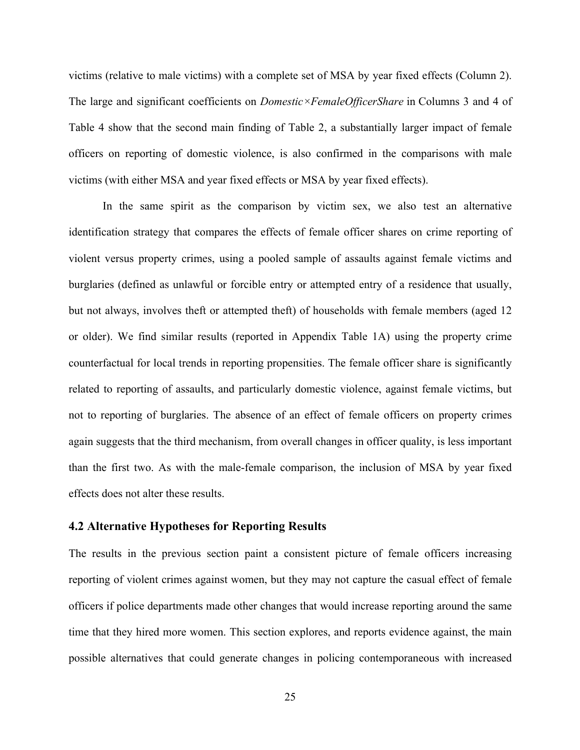victims (relative to male victims) with a complete set of MSA by year fixed effects (Column 2). The large and significant coefficients on *Domestic×FemaleOfficerShare* in Columns 3 and 4 of Table 4 show that the second main finding of Table 2, a substantially larger impact of female officers on reporting of domestic violence, is also confirmed in the comparisons with male victims (with either MSA and year fixed effects or MSA by year fixed effects).

In the same spirit as the comparison by victim sex, we also test an alternative identification strategy that compares the effects of female officer shares on crime reporting of violent versus property crimes, using a pooled sample of assaults against female victims and burglaries (defined as unlawful or forcible entry or attempted entry of a residence that usually, but not always, involves theft or attempted theft) of households with female members (aged 12 or older). We find similar results (reported in Appendix Table 1A) using the property crime counterfactual for local trends in reporting propensities. The female officer share is significantly related to reporting of assaults, and particularly domestic violence, against female victims, but not to reporting of burglaries. The absence of an effect of female officers on property crimes again suggests that the third mechanism, from overall changes in officer quality, is less important than the first two. As with the male-female comparison, the inclusion of MSA by year fixed effects does not alter these results.

## **4.2 Alternative Hypotheses for Reporting Results**

The results in the previous section paint a consistent picture of female officers increasing reporting of violent crimes against women, but they may not capture the casual effect of female officers if police departments made other changes that would increase reporting around the same time that they hired more women. This section explores, and reports evidence against, the main possible alternatives that could generate changes in policing contemporaneous with increased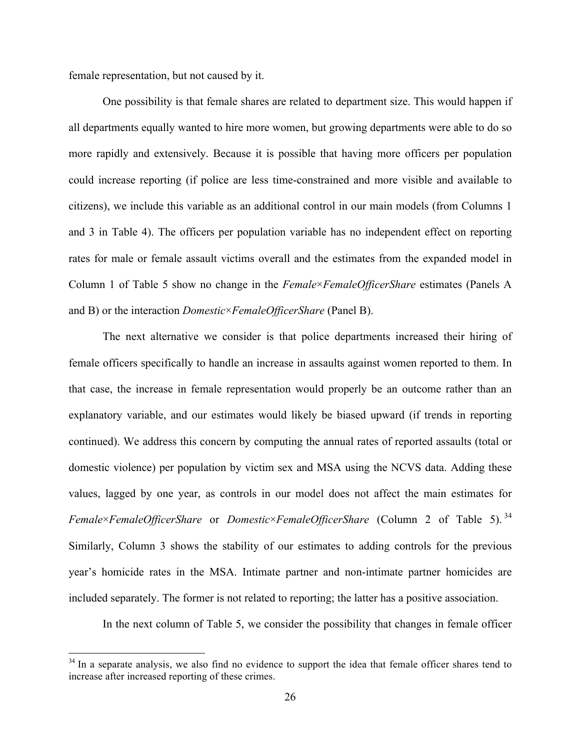female representation, but not caused by it.

 

One possibility is that female shares are related to department size. This would happen if all departments equally wanted to hire more women, but growing departments were able to do so more rapidly and extensively. Because it is possible that having more officers per population could increase reporting (if police are less time-constrained and more visible and available to citizens), we include this variable as an additional control in our main models (from Columns 1 and 3 in Table 4). The officers per population variable has no independent effect on reporting rates for male or female assault victims overall and the estimates from the expanded model in Column 1 of Table 5 show no change in the *Female*×*FemaleOfficerShare* estimates (Panels A and B) or the interaction *Domestic*×*FemaleOfficerShare* (Panel B).

The next alternative we consider is that police departments increased their hiring of female officers specifically to handle an increase in assaults against women reported to them. In that case, the increase in female representation would properly be an outcome rather than an explanatory variable, and our estimates would likely be biased upward (if trends in reporting continued). We address this concern by computing the annual rates of reported assaults (total or domestic violence) per population by victim sex and MSA using the NCVS data. Adding these values, lagged by one year, as controls in our model does not affect the main estimates for *Female*×*FemaleOfficerShare* or *Domestic*×*FemaleOfficerShare* (Column 2 of Table 5). 34 Similarly, Column 3 shows the stability of our estimates to adding controls for the previous year's homicide rates in the MSA. Intimate partner and non-intimate partner homicides are included separately. The former is not related to reporting; the latter has a positive association.

In the next column of Table 5, we consider the possibility that changes in female officer

 $34$  In a separate analysis, we also find no evidence to support the idea that female officer shares tend to increase after increased reporting of these crimes.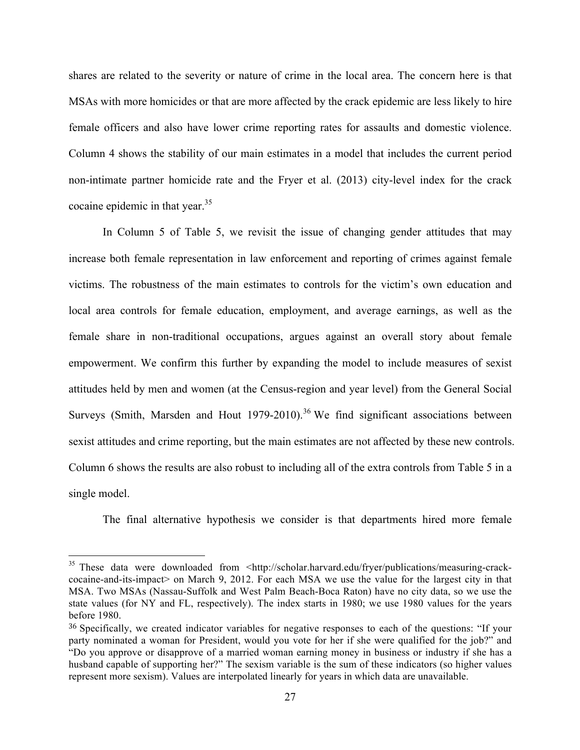shares are related to the severity or nature of crime in the local area. The concern here is that MSAs with more homicides or that are more affected by the crack epidemic are less likely to hire female officers and also have lower crime reporting rates for assaults and domestic violence. Column 4 shows the stability of our main estimates in a model that includes the current period non-intimate partner homicide rate and the Fryer et al. (2013) city-level index for the crack cocaine epidemic in that year.<sup>35</sup>

In Column 5 of Table 5, we revisit the issue of changing gender attitudes that may increase both female representation in law enforcement and reporting of crimes against female victims. The robustness of the main estimates to controls for the victim's own education and local area controls for female education, employment, and average earnings, as well as the female share in non-traditional occupations, argues against an overall story about female empowerment. We confirm this further by expanding the model to include measures of sexist attitudes held by men and women (at the Census-region and year level) from the General Social Surveys (Smith, Marsden and Hout 1979-2010).<sup>36</sup> We find significant associations between sexist attitudes and crime reporting, but the main estimates are not affected by these new controls. Column 6 shows the results are also robust to including all of the extra controls from Table 5 in a single model.

The final alternative hypothesis we consider is that departments hired more female

<sup>&</sup>lt;sup>35</sup> These data were downloaded from <http://scholar.harvard.edu/fryer/publications/measuring-crackcocaine-and-its-impact> on March 9, 2012. For each MSA we use the value for the largest city in that MSA. Two MSAs (Nassau-Suffolk and West Palm Beach-Boca Raton) have no city data, so we use the state values (for NY and FL, respectively). The index starts in 1980; we use 1980 values for the years before 1980.

<sup>36</sup> Specifically, we created indicator variables for negative responses to each of the questions: "If your party nominated a woman for President, would you vote for her if she were qualified for the job?" and "Do you approve or disapprove of a married woman earning money in business or industry if she has a husband capable of supporting her?" The sexism variable is the sum of these indicators (so higher values represent more sexism). Values are interpolated linearly for years in which data are unavailable.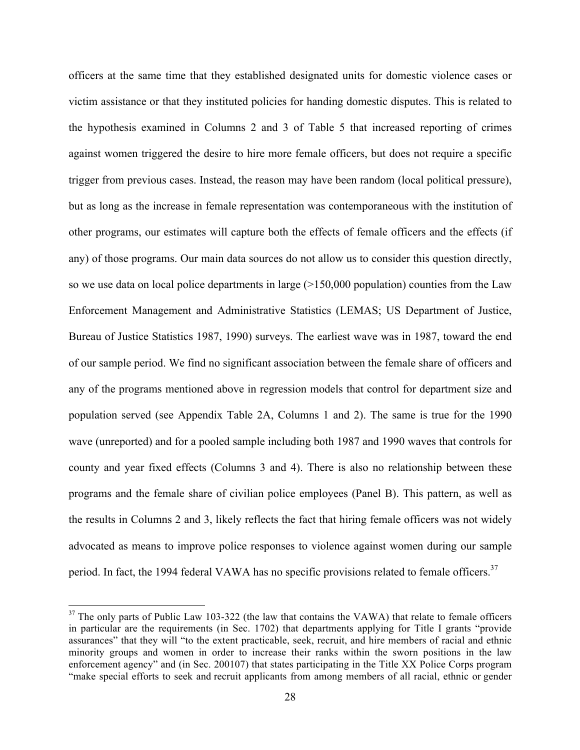officers at the same time that they established designated units for domestic violence cases or victim assistance or that they instituted policies for handing domestic disputes. This is related to the hypothesis examined in Columns 2 and 3 of Table 5 that increased reporting of crimes against women triggered the desire to hire more female officers, but does not require a specific trigger from previous cases. Instead, the reason may have been random (local political pressure), but as long as the increase in female representation was contemporaneous with the institution of other programs, our estimates will capture both the effects of female officers and the effects (if any) of those programs. Our main data sources do not allow us to consider this question directly, so we use data on local police departments in large  $(>150,000$  population) counties from the Law Enforcement Management and Administrative Statistics (LEMAS; US Department of Justice, Bureau of Justice Statistics 1987, 1990) surveys. The earliest wave was in 1987, toward the end of our sample period. We find no significant association between the female share of officers and any of the programs mentioned above in regression models that control for department size and population served (see Appendix Table 2A, Columns 1 and 2). The same is true for the 1990 wave (unreported) and for a pooled sample including both 1987 and 1990 waves that controls for county and year fixed effects (Columns 3 and 4). There is also no relationship between these programs and the female share of civilian police employees (Panel B). This pattern, as well as the results in Columns 2 and 3, likely reflects the fact that hiring female officers was not widely advocated as means to improve police responses to violence against women during our sample period. In fact, the 1994 federal VAWA has no specific provisions related to female officers.<sup>37</sup>

 $37$  The only parts of Public Law 103-322 (the law that contains the VAWA) that relate to female officers in particular are the requirements (in Sec. 1702) that departments applying for Title I grants "provide assurances" that they will "to the extent practicable, seek, recruit, and hire members of racial and ethnic minority groups and women in order to increase their ranks within the sworn positions in the law enforcement agency" and (in Sec. 200107) that states participating in the Title XX Police Corps program "make special efforts to seek and recruit applicants from among members of all racial, ethnic or gender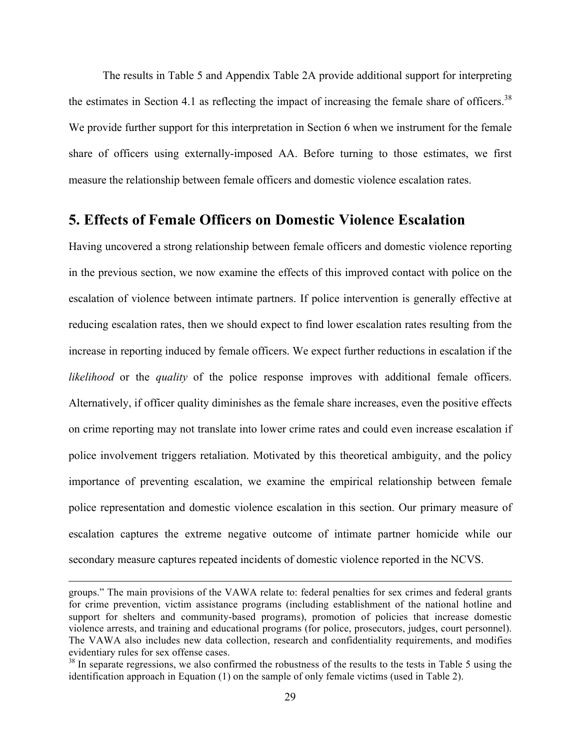The results in Table 5 and Appendix Table 2A provide additional support for interpreting the estimates in Section 4.1 as reflecting the impact of increasing the female share of officers.<sup>38</sup> We provide further support for this interpretation in Section 6 when we instrument for the female share of officers using externally-imposed AA. Before turning to those estimates, we first measure the relationship between female officers and domestic violence escalation rates.

## **5. Effects of Female Officers on Domestic Violence Escalation**

Having uncovered a strong relationship between female officers and domestic violence reporting in the previous section, we now examine the effects of this improved contact with police on the escalation of violence between intimate partners. If police intervention is generally effective at reducing escalation rates, then we should expect to find lower escalation rates resulting from the increase in reporting induced by female officers. We expect further reductions in escalation if the *likelihood* or the *quality* of the police response improves with additional female officers. Alternatively, if officer quality diminishes as the female share increases, even the positive effects on crime reporting may not translate into lower crime rates and could even increase escalation if police involvement triggers retaliation. Motivated by this theoretical ambiguity, and the policy importance of preventing escalation, we examine the empirical relationship between female police representation and domestic violence escalation in this section. Our primary measure of escalation captures the extreme negative outcome of intimate partner homicide while our secondary measure captures repeated incidents of domestic violence reported in the NCVS.

<u> 1989 - Andrea San Andrea San Andrea San Andrea San Andrea San Andrea San Andrea San Andrea San Andrea San An</u>

groups." The main provisions of the VAWA relate to: federal penalties for sex crimes and federal grants for crime prevention, victim assistance programs (including establishment of the national hotline and support for shelters and community-based programs), promotion of policies that increase domestic violence arrests, and training and educational programs (for police, prosecutors, judges, court personnel). The VAWA also includes new data collection, research and confidentiality requirements, and modifies evidentiary rules for sex offense cases.

<sup>&</sup>lt;sup>38</sup> In separate regressions, we also confirmed the robustness of the results to the tests in Table 5 using the identification approach in Equation (1) on the sample of only female victims (used in Table 2).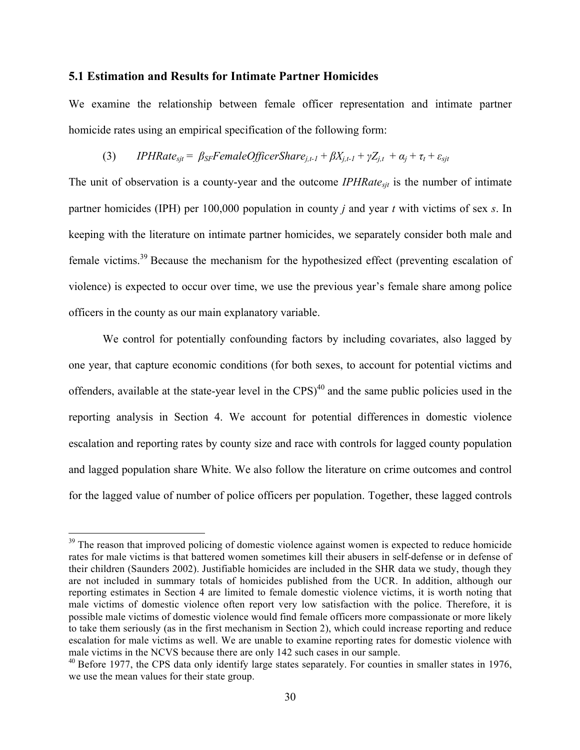### **5.1 Estimation and Results for Intimate Partner Homicides**

We examine the relationship between female officer representation and intimate partner homicide rates using an empirical specification of the following form:

## (3) *IPHRate<sub>sit</sub>* =  $\beta_{SF}$ *FemaleOfficerShare<sub>i.t-1</sub></sub> +*  $\beta X_{i,t-1} + \gamma Z_{i,t} + \alpha_i + \tau_t + \varepsilon_{sit}$

The unit of observation is a county-year and the outcome *IPHRatesjt* is the number of intimate partner homicides (IPH) per 100,000 population in county *j* and year *t* with victims of sex *s*. In keeping with the literature on intimate partner homicides, we separately consider both male and female victims.39 Because the mechanism for the hypothesized effect (preventing escalation of violence) is expected to occur over time, we use the previous year's female share among police officers in the county as our main explanatory variable.

We control for potentially confounding factors by including covariates, also lagged by one year, that capture economic conditions (for both sexes, to account for potential victims and offenders, available at the state-year level in the CPS)<sup>40</sup> and the same public policies used in the reporting analysis in Section 4. We account for potential differences in domestic violence escalation and reporting rates by county size and race with controls for lagged county population and lagged population share White. We also follow the literature on crime outcomes and control for the lagged value of number of police officers per population. Together, these lagged controls

<sup>&</sup>lt;sup>39</sup> The reason that improved policing of domestic violence against women is expected to reduce homicide rates for male victims is that battered women sometimes kill their abusers in self-defense or in defense of their children (Saunders 2002). Justifiable homicides are included in the SHR data we study, though they are not included in summary totals of homicides published from the UCR. In addition, although our reporting estimates in Section 4 are limited to female domestic violence victims, it is worth noting that male victims of domestic violence often report very low satisfaction with the police. Therefore, it is possible male victims of domestic violence would find female officers more compassionate or more likely to take them seriously (as in the first mechanism in Section 2), which could increase reporting and reduce escalation for male victims as well. We are unable to examine reporting rates for domestic violence with male victims in the NCVS because there are only 142 such cases in our sample.

 $^{40}$  Before 1977, the CPS data only identify large states separately. For counties in smaller states in 1976, we use the mean values for their state group.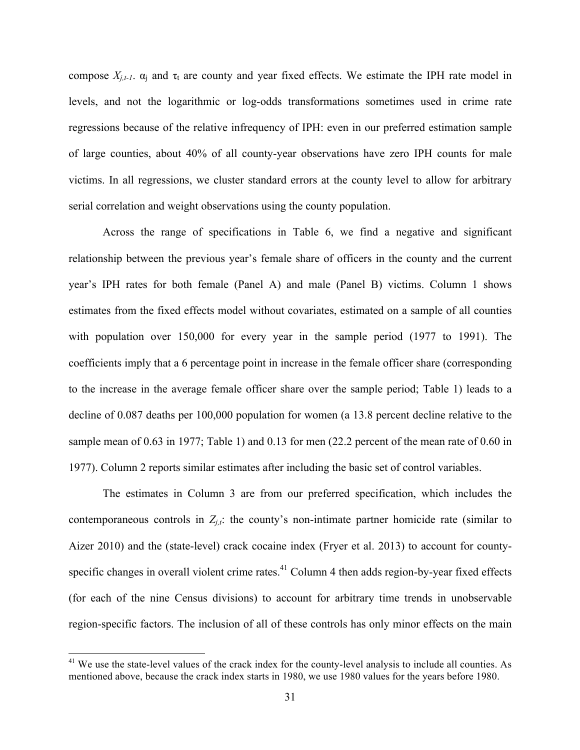compose  $X_{i,t-1}$ .  $\alpha_i$  and  $\tau_t$  are county and year fixed effects. We estimate the IPH rate model in levels, and not the logarithmic or log-odds transformations sometimes used in crime rate regressions because of the relative infrequency of IPH: even in our preferred estimation sample of large counties, about 40% of all county-year observations have zero IPH counts for male victims. In all regressions, we cluster standard errors at the county level to allow for arbitrary serial correlation and weight observations using the county population.

Across the range of specifications in Table 6, we find a negative and significant relationship between the previous year's female share of officers in the county and the current year's IPH rates for both female (Panel A) and male (Panel B) victims. Column 1 shows estimates from the fixed effects model without covariates, estimated on a sample of all counties with population over 150,000 for every year in the sample period (1977 to 1991). The coefficients imply that a 6 percentage point in increase in the female officer share (corresponding to the increase in the average female officer share over the sample period; Table 1) leads to a decline of 0.087 deaths per 100,000 population for women (a 13.8 percent decline relative to the sample mean of 0.63 in 1977; Table 1) and 0.13 for men (22.2 percent of the mean rate of 0.60 in 1977). Column 2 reports similar estimates after including the basic set of control variables.

The estimates in Column 3 are from our preferred specification, which includes the contemporaneous controls in  $Z_{i,t}$ : the county's non-intimate partner homicide rate (similar to Aizer 2010) and the (state-level) crack cocaine index (Fryer et al. 2013) to account for countyspecific changes in overall violent crime rates. $41$  Column 4 then adds region-by-year fixed effects (for each of the nine Census divisions) to account for arbitrary time trends in unobservable region-specific factors. The inclusion of all of these controls has only minor effects on the main

<sup>&</sup>lt;sup>41</sup> We use the state-level values of the crack index for the county-level analysis to include all counties. As mentioned above, because the crack index starts in 1980, we use 1980 values for the years before 1980.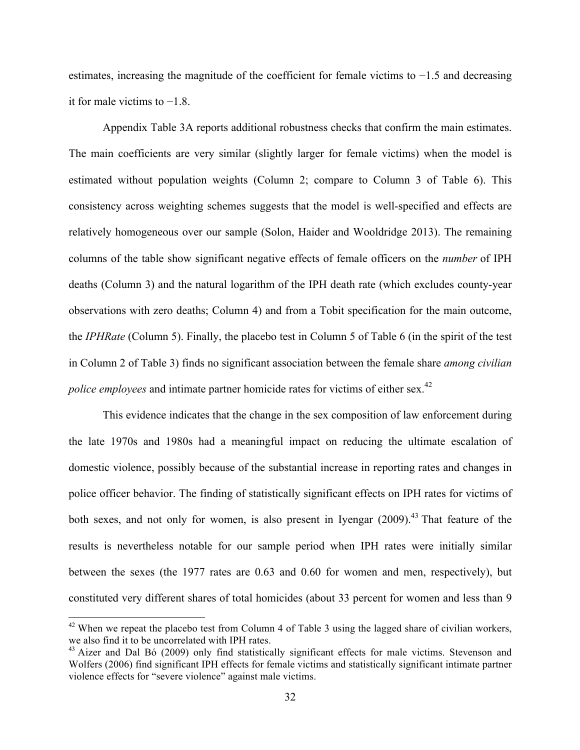estimates, increasing the magnitude of the coefficient for female victims to −1.5 and decreasing it for male victims to −1.8.

Appendix Table 3A reports additional robustness checks that confirm the main estimates. The main coefficients are very similar (slightly larger for female victims) when the model is estimated without population weights (Column 2; compare to Column 3 of Table 6). This consistency across weighting schemes suggests that the model is well-specified and effects are relatively homogeneous over our sample (Solon, Haider and Wooldridge 2013). The remaining columns of the table show significant negative effects of female officers on the *number* of IPH deaths (Column 3) and the natural logarithm of the IPH death rate (which excludes county-year observations with zero deaths; Column 4) and from a Tobit specification for the main outcome, the *IPHRate* (Column 5). Finally, the placebo test in Column 5 of Table 6 (in the spirit of the test in Column 2 of Table 3) finds no significant association between the female share *among civilian police employees* and intimate partner homicide rates for victims of either sex.<sup>42</sup>

This evidence indicates that the change in the sex composition of law enforcement during the late 1970s and 1980s had a meaningful impact on reducing the ultimate escalation of domestic violence, possibly because of the substantial increase in reporting rates and changes in police officer behavior. The finding of statistically significant effects on IPH rates for victims of both sexes, and not only for women, is also present in Iyengar  $(2009)$ <sup>43</sup>. That feature of the results is nevertheless notable for our sample period when IPH rates were initially similar between the sexes (the 1977 rates are 0.63 and 0.60 for women and men, respectively), but constituted very different shares of total homicides (about 33 percent for women and less than 9

 $42$  When we repeat the placebo test from Column 4 of Table 3 using the lagged share of civilian workers, we also find it to be uncorrelated with IPH rates.

<sup>&</sup>lt;sup>43</sup> Aizer and Dal Bó (2009) only find statistically significant effects for male victims. Stevenson and Wolfers (2006) find significant IPH effects for female victims and statistically significant intimate partner violence effects for "severe violence" against male victims.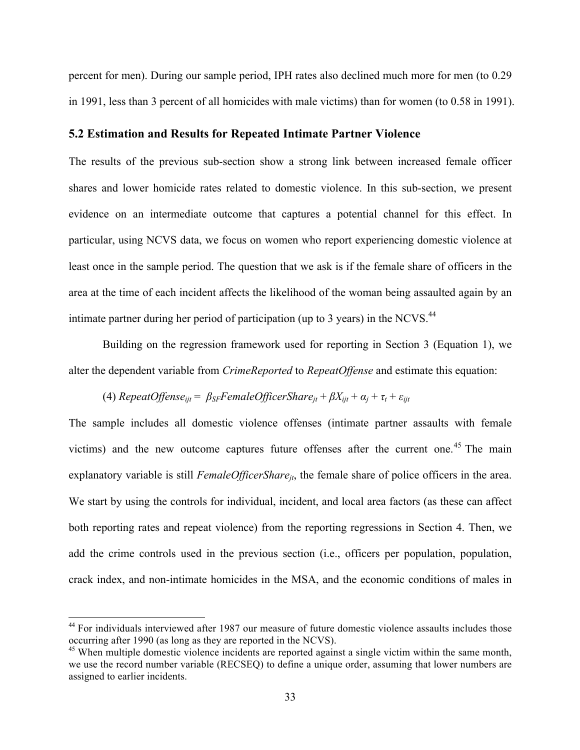percent for men). During our sample period, IPH rates also declined much more for men (to 0.29 in 1991, less than 3 percent of all homicides with male victims) than for women (to 0.58 in 1991).

## **5.2 Estimation and Results for Repeated Intimate Partner Violence**

The results of the previous sub-section show a strong link between increased female officer shares and lower homicide rates related to domestic violence. In this sub-section, we present evidence on an intermediate outcome that captures a potential channel for this effect. In particular, using NCVS data, we focus on women who report experiencing domestic violence at least once in the sample period. The question that we ask is if the female share of officers in the area at the time of each incident affects the likelihood of the woman being assaulted again by an intimate partner during her period of participation (up to 3 years) in the NCVS.<sup>44</sup>

Building on the regression framework used for reporting in Section 3 (Equation 1), we alter the dependent variable from *CrimeReported* to *RepeatOffense* and estimate this equation:

(4) RepeatOffice 
$$
\beta_{ijt} = \beta_{SF} \text{FemaleOffice} \cdot \text{Share}_{jt} + \beta X_{ijt} + \alpha_j + \tau_t + \varepsilon_{ijt}
$$

The sample includes all domestic violence offenses (intimate partner assaults with female victims) and the new outcome captures future offenses after the current one.<sup>45</sup> The main explanatory variable is still *FemaleOfficerShare<sub>it*</sub>, the female share of police officers in the area. We start by using the controls for individual, incident, and local area factors (as these can affect both reporting rates and repeat violence) from the reporting regressions in Section 4. Then, we add the crime controls used in the previous section (i.e., officers per population, population, crack index, and non-intimate homicides in the MSA, and the economic conditions of males in

<sup>&</sup>lt;sup>44</sup> For individuals interviewed after 1987 our measure of future domestic violence assaults includes those occurring after 1990 (as long as they are reported in the NCVS).

 $45$  When multiple domestic violence incidents are reported against a single victim within the same month, we use the record number variable (RECSEQ) to define a unique order, assuming that lower numbers are assigned to earlier incidents.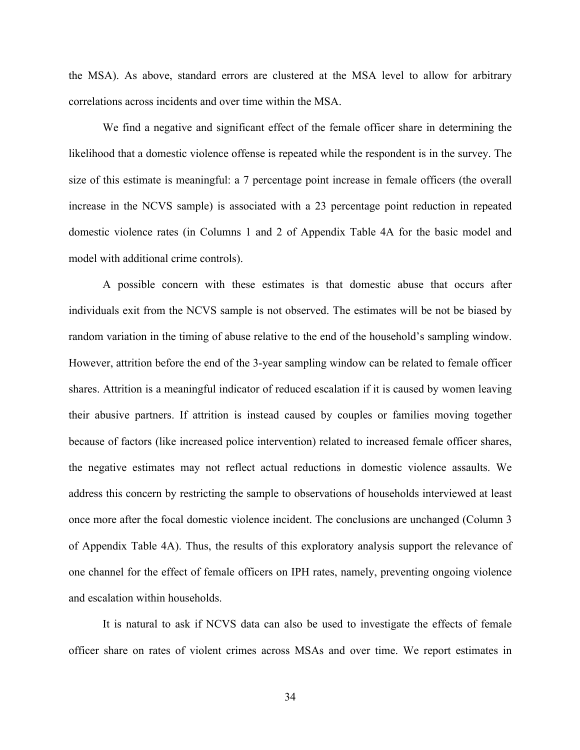the MSA). As above, standard errors are clustered at the MSA level to allow for arbitrary correlations across incidents and over time within the MSA.

We find a negative and significant effect of the female officer share in determining the likelihood that a domestic violence offense is repeated while the respondent is in the survey. The size of this estimate is meaningful: a 7 percentage point increase in female officers (the overall increase in the NCVS sample) is associated with a 23 percentage point reduction in repeated domestic violence rates (in Columns 1 and 2 of Appendix Table 4A for the basic model and model with additional crime controls).

A possible concern with these estimates is that domestic abuse that occurs after individuals exit from the NCVS sample is not observed. The estimates will be not be biased by random variation in the timing of abuse relative to the end of the household's sampling window. However, attrition before the end of the 3-year sampling window can be related to female officer shares. Attrition is a meaningful indicator of reduced escalation if it is caused by women leaving their abusive partners. If attrition is instead caused by couples or families moving together because of factors (like increased police intervention) related to increased female officer shares, the negative estimates may not reflect actual reductions in domestic violence assaults. We address this concern by restricting the sample to observations of households interviewed at least once more after the focal domestic violence incident. The conclusions are unchanged (Column 3 of Appendix Table 4A). Thus, the results of this exploratory analysis support the relevance of one channel for the effect of female officers on IPH rates, namely, preventing ongoing violence and escalation within households.

It is natural to ask if NCVS data can also be used to investigate the effects of female officer share on rates of violent crimes across MSAs and over time. We report estimates in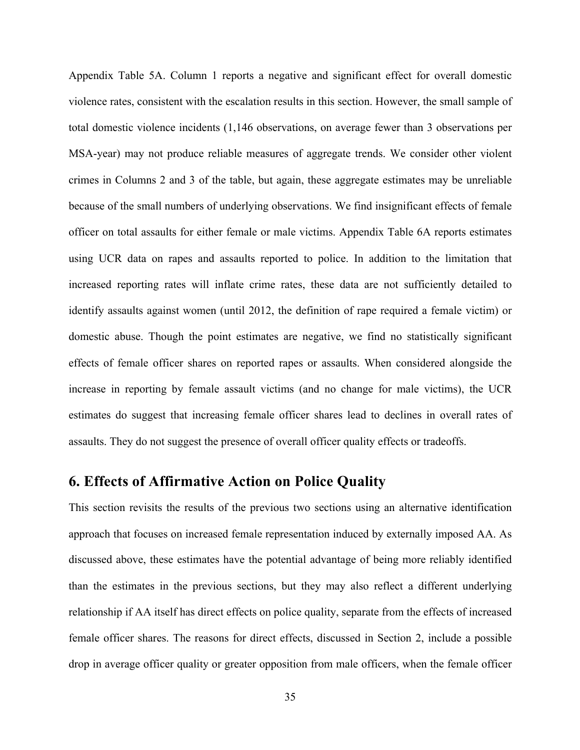Appendix Table 5A. Column 1 reports a negative and significant effect for overall domestic violence rates, consistent with the escalation results in this section. However, the small sample of total domestic violence incidents (1,146 observations, on average fewer than 3 observations per MSA-year) may not produce reliable measures of aggregate trends. We consider other violent crimes in Columns 2 and 3 of the table, but again, these aggregate estimates may be unreliable because of the small numbers of underlying observations. We find insignificant effects of female officer on total assaults for either female or male victims. Appendix Table 6A reports estimates using UCR data on rapes and assaults reported to police. In addition to the limitation that increased reporting rates will inflate crime rates, these data are not sufficiently detailed to identify assaults against women (until 2012, the definition of rape required a female victim) or domestic abuse. Though the point estimates are negative, we find no statistically significant effects of female officer shares on reported rapes or assaults. When considered alongside the increase in reporting by female assault victims (and no change for male victims), the UCR estimates do suggest that increasing female officer shares lead to declines in overall rates of assaults. They do not suggest the presence of overall officer quality effects or tradeoffs.

## **6. Effects of Affirmative Action on Police Quality**

This section revisits the results of the previous two sections using an alternative identification approach that focuses on increased female representation induced by externally imposed AA. As discussed above, these estimates have the potential advantage of being more reliably identified than the estimates in the previous sections, but they may also reflect a different underlying relationship if AA itself has direct effects on police quality, separate from the effects of increased female officer shares. The reasons for direct effects, discussed in Section 2, include a possible drop in average officer quality or greater opposition from male officers, when the female officer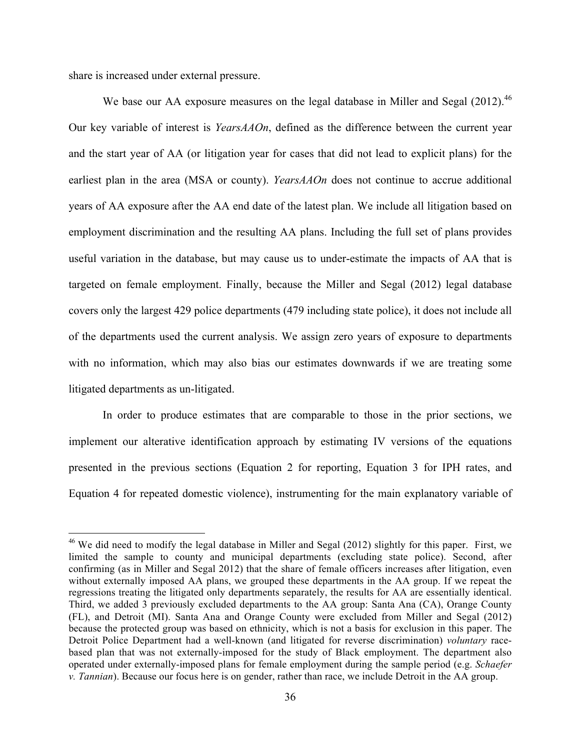share is increased under external pressure.

 

We base our AA exposure measures on the legal database in Miller and Segal (2012).<sup>46</sup> Our key variable of interest is *YearsAAOn*, defined as the difference between the current year and the start year of AA (or litigation year for cases that did not lead to explicit plans) for the earliest plan in the area (MSA or county). *YearsAAOn* does not continue to accrue additional years of AA exposure after the AA end date of the latest plan. We include all litigation based on employment discrimination and the resulting AA plans. Including the full set of plans provides useful variation in the database, but may cause us to under-estimate the impacts of AA that is targeted on female employment. Finally, because the Miller and Segal (2012) legal database covers only the largest 429 police departments (479 including state police), it does not include all of the departments used the current analysis. We assign zero years of exposure to departments with no information, which may also bias our estimates downwards if we are treating some litigated departments as un-litigated.

In order to produce estimates that are comparable to those in the prior sections, we implement our alterative identification approach by estimating IV versions of the equations presented in the previous sections (Equation 2 for reporting, Equation 3 for IPH rates, and Equation 4 for repeated domestic violence), instrumenting for the main explanatory variable of

<sup>&</sup>lt;sup>46</sup> We did need to modify the legal database in Miller and Segal (2012) slightly for this paper. First, we limited the sample to county and municipal departments (excluding state police). Second, after confirming (as in Miller and Segal 2012) that the share of female officers increases after litigation, even without externally imposed AA plans, we grouped these departments in the AA group. If we repeat the regressions treating the litigated only departments separately, the results for AA are essentially identical. Third, we added 3 previously excluded departments to the AA group: Santa Ana (CA), Orange County (FL), and Detroit (MI). Santa Ana and Orange County were excluded from Miller and Segal (2012) because the protected group was based on ethnicity, which is not a basis for exclusion in this paper. The Detroit Police Department had a well-known (and litigated for reverse discrimination) *voluntary* racebased plan that was not externally-imposed for the study of Black employment. The department also operated under externally-imposed plans for female employment during the sample period (e.g. *Schaefer v. Tannian*). Because our focus here is on gender, rather than race, we include Detroit in the AA group.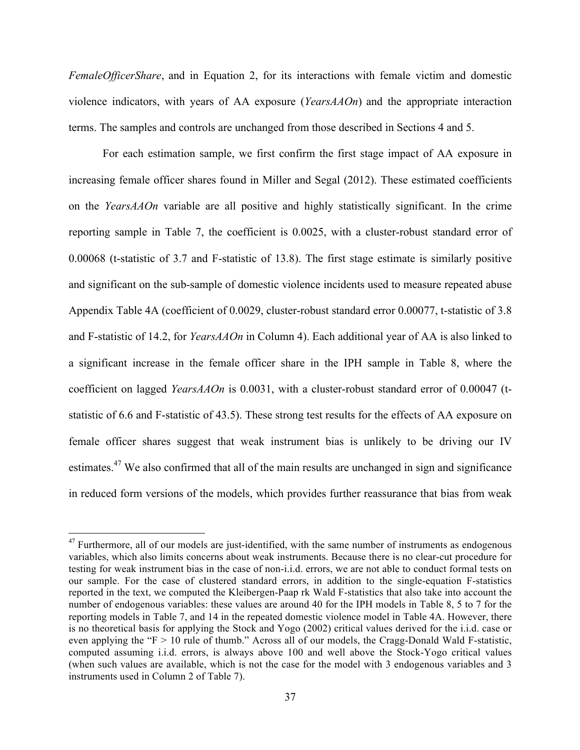*FemaleOfficerShare*, and in Equation 2, for its interactions with female victim and domestic violence indicators, with years of AA exposure (*YearsAAOn*) and the appropriate interaction terms. The samples and controls are unchanged from those described in Sections 4 and 5.

For each estimation sample, we first confirm the first stage impact of AA exposure in increasing female officer shares found in Miller and Segal (2012). These estimated coefficients on the *YearsAAOn* variable are all positive and highly statistically significant. In the crime reporting sample in Table 7, the coefficient is 0.0025, with a cluster-robust standard error of 0.00068 (t-statistic of 3.7 and F-statistic of 13.8). The first stage estimate is similarly positive and significant on the sub-sample of domestic violence incidents used to measure repeated abuse Appendix Table 4A (coefficient of 0.0029, cluster-robust standard error 0.00077, t-statistic of 3.8 and F-statistic of 14.2, for *YearsAAOn* in Column 4). Each additional year of AA is also linked to a significant increase in the female officer share in the IPH sample in Table 8, where the coefficient on lagged *YearsAAOn* is 0.0031, with a cluster-robust standard error of 0.00047 (tstatistic of 6.6 and F-statistic of 43.5). These strong test results for the effects of AA exposure on female officer shares suggest that weak instrument bias is unlikely to be driving our IV estimates.<sup>47</sup> We also confirmed that all of the main results are unchanged in sign and significance in reduced form versions of the models, which provides further reassurance that bias from weak

 $47$  Furthermore, all of our models are just-identified, with the same number of instruments as endogenous variables, which also limits concerns about weak instruments. Because there is no clear-cut procedure for testing for weak instrument bias in the case of non-i.i.d. errors, we are not able to conduct formal tests on our sample. For the case of clustered standard errors, in addition to the single-equation F-statistics reported in the text, we computed the Kleibergen-Paap rk Wald F-statistics that also take into account the number of endogenous variables: these values are around 40 for the IPH models in Table 8, 5 to 7 for the reporting models in Table 7, and 14 in the repeated domestic violence model in Table 4A. However, there is no theoretical basis for applying the Stock and Yogo (2002) critical values derived for the i.i.d. case or even applying the "F > 10 rule of thumb." Across all of our models, the Cragg-Donald Wald F-statistic, computed assuming i.i.d. errors, is always above 100 and well above the Stock-Yogo critical values (when such values are available, which is not the case for the model with 3 endogenous variables and 3 instruments used in Column 2 of Table 7).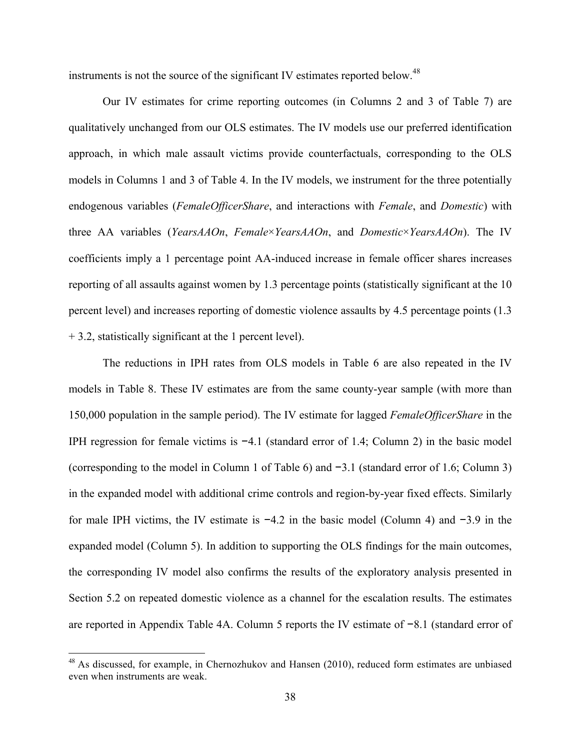instruments is not the source of the significant IV estimates reported below.<sup>48</sup>

Our IV estimates for crime reporting outcomes (in Columns 2 and 3 of Table 7) are qualitatively unchanged from our OLS estimates. The IV models use our preferred identification approach, in which male assault victims provide counterfactuals, corresponding to the OLS models in Columns 1 and 3 of Table 4. In the IV models, we instrument for the three potentially endogenous variables (*FemaleOfficerShare*, and interactions with *Female*, and *Domestic*) with three AA variables (*YearsAAOn*, *Female*×*YearsAAOn*, and *Domestic*×*YearsAAOn*). The IV coefficients imply a 1 percentage point AA-induced increase in female officer shares increases reporting of all assaults against women by 1.3 percentage points (statistically significant at the 10 percent level) and increases reporting of domestic violence assaults by 4.5 percentage points (1.3 + 3.2, statistically significant at the 1 percent level).

The reductions in IPH rates from OLS models in Table 6 are also repeated in the IV models in Table 8. These IV estimates are from the same county-year sample (with more than 150,000 population in the sample period). The IV estimate for lagged *FemaleOfficerShare* in the IPH regression for female victims is −4.1 (standard error of 1.4; Column 2) in the basic model (corresponding to the model in Column 1 of Table 6) and −3.1 (standard error of 1.6; Column 3) in the expanded model with additional crime controls and region-by-year fixed effects. Similarly for male IPH victims, the IV estimate is −4.2 in the basic model (Column 4) and −3.9 in the expanded model (Column 5). In addition to supporting the OLS findings for the main outcomes, the corresponding IV model also confirms the results of the exploratory analysis presented in Section 5.2 on repeated domestic violence as a channel for the escalation results. The estimates are reported in Appendix Table 4A. Column 5 reports the IV estimate of −8.1 (standard error of

 $48$  As discussed, for example, in Chernozhukov and Hansen (2010), reduced form estimates are unbiased even when instruments are weak.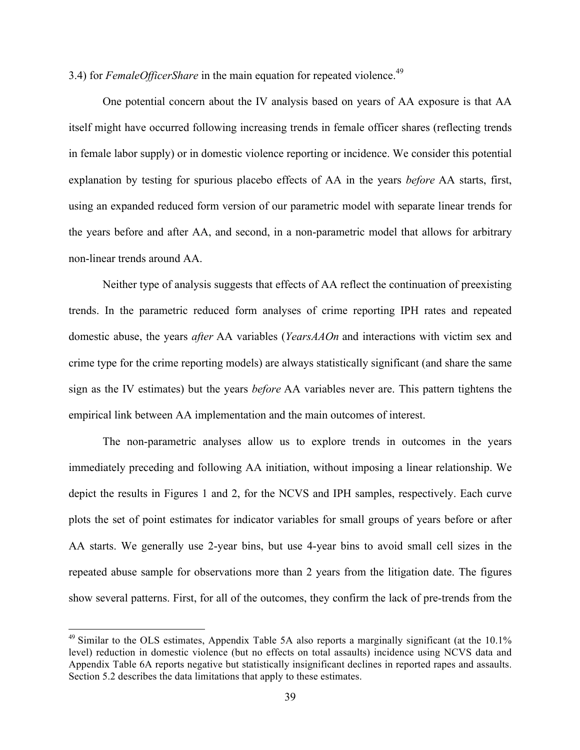3.4) for *FemaleOfficerShare* in the main equation for repeated violence.<sup>49</sup>

One potential concern about the IV analysis based on years of AA exposure is that AA itself might have occurred following increasing trends in female officer shares (reflecting trends in female labor supply) or in domestic violence reporting or incidence. We consider this potential explanation by testing for spurious placebo effects of AA in the years *before* AA starts, first, using an expanded reduced form version of our parametric model with separate linear trends for the years before and after AA, and second, in a non-parametric model that allows for arbitrary non-linear trends around AA.

Neither type of analysis suggests that effects of AA reflect the continuation of preexisting trends. In the parametric reduced form analyses of crime reporting IPH rates and repeated domestic abuse, the years *after* AA variables (*YearsAAOn* and interactions with victim sex and crime type for the crime reporting models) are always statistically significant (and share the same sign as the IV estimates) but the years *before* AA variables never are. This pattern tightens the empirical link between AA implementation and the main outcomes of interest.

The non-parametric analyses allow us to explore trends in outcomes in the years immediately preceding and following AA initiation, without imposing a linear relationship. We depict the results in Figures 1 and 2, for the NCVS and IPH samples, respectively. Each curve plots the set of point estimates for indicator variables for small groups of years before or after AA starts. We generally use 2-year bins, but use 4-year bins to avoid small cell sizes in the repeated abuse sample for observations more than 2 years from the litigation date. The figures show several patterns. First, for all of the outcomes, they confirm the lack of pre-trends from the

<sup>&</sup>lt;sup>49</sup> Similar to the OLS estimates, Appendix Table 5A also reports a marginally significant (at the 10.1% level) reduction in domestic violence (but no effects on total assaults) incidence using NCVS data and Appendix Table 6A reports negative but statistically insignificant declines in reported rapes and assaults. Section 5.2 describes the data limitations that apply to these estimates.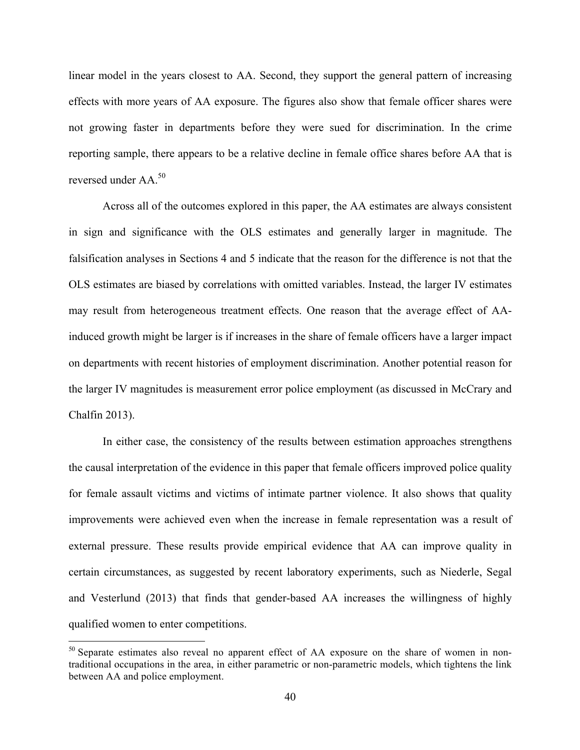linear model in the years closest to AA. Second, they support the general pattern of increasing effects with more years of AA exposure. The figures also show that female officer shares were not growing faster in departments before they were sued for discrimination. In the crime reporting sample, there appears to be a relative decline in female office shares before AA that is reversed under AA.<sup>50</sup>

Across all of the outcomes explored in this paper, the AA estimates are always consistent in sign and significance with the OLS estimates and generally larger in magnitude. The falsification analyses in Sections 4 and 5 indicate that the reason for the difference is not that the OLS estimates are biased by correlations with omitted variables. Instead, the larger IV estimates may result from heterogeneous treatment effects. One reason that the average effect of AAinduced growth might be larger is if increases in the share of female officers have a larger impact on departments with recent histories of employment discrimination. Another potential reason for the larger IV magnitudes is measurement error police employment (as discussed in McCrary and Chalfin 2013).

In either case, the consistency of the results between estimation approaches strengthens the causal interpretation of the evidence in this paper that female officers improved police quality for female assault victims and victims of intimate partner violence. It also shows that quality improvements were achieved even when the increase in female representation was a result of external pressure. These results provide empirical evidence that AA can improve quality in certain circumstances, as suggested by recent laboratory experiments, such as Niederle, Segal and Vesterlund (2013) that finds that gender-based AA increases the willingness of highly qualified women to enter competitions.

<sup>&</sup>lt;sup>50</sup> Separate estimates also reveal no apparent effect of AA exposure on the share of women in nontraditional occupations in the area, in either parametric or non-parametric models, which tightens the link between AA and police employment.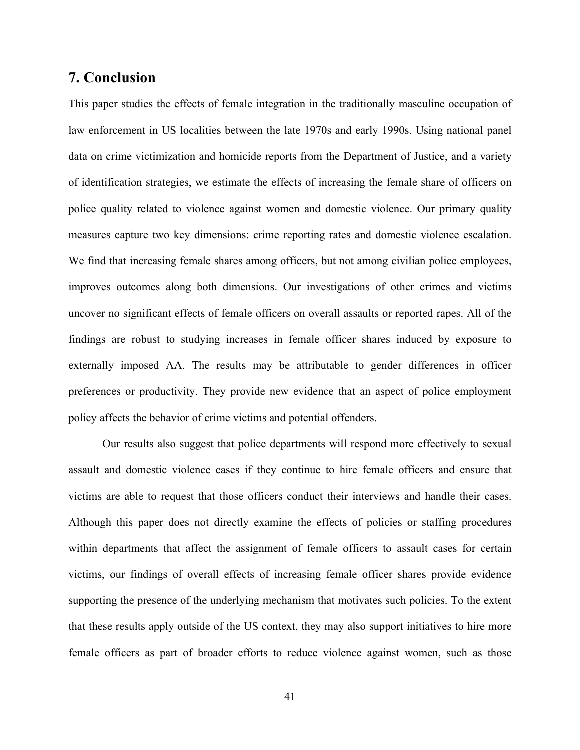## **7. Conclusion**

This paper studies the effects of female integration in the traditionally masculine occupation of law enforcement in US localities between the late 1970s and early 1990s. Using national panel data on crime victimization and homicide reports from the Department of Justice, and a variety of identification strategies, we estimate the effects of increasing the female share of officers on police quality related to violence against women and domestic violence. Our primary quality measures capture two key dimensions: crime reporting rates and domestic violence escalation. We find that increasing female shares among officers, but not among civilian police employees, improves outcomes along both dimensions. Our investigations of other crimes and victims uncover no significant effects of female officers on overall assaults or reported rapes. All of the findings are robust to studying increases in female officer shares induced by exposure to externally imposed AA. The results may be attributable to gender differences in officer preferences or productivity. They provide new evidence that an aspect of police employment policy affects the behavior of crime victims and potential offenders.

Our results also suggest that police departments will respond more effectively to sexual assault and domestic violence cases if they continue to hire female officers and ensure that victims are able to request that those officers conduct their interviews and handle their cases. Although this paper does not directly examine the effects of policies or staffing procedures within departments that affect the assignment of female officers to assault cases for certain victims, our findings of overall effects of increasing female officer shares provide evidence supporting the presence of the underlying mechanism that motivates such policies. To the extent that these results apply outside of the US context, they may also support initiatives to hire more female officers as part of broader efforts to reduce violence against women, such as those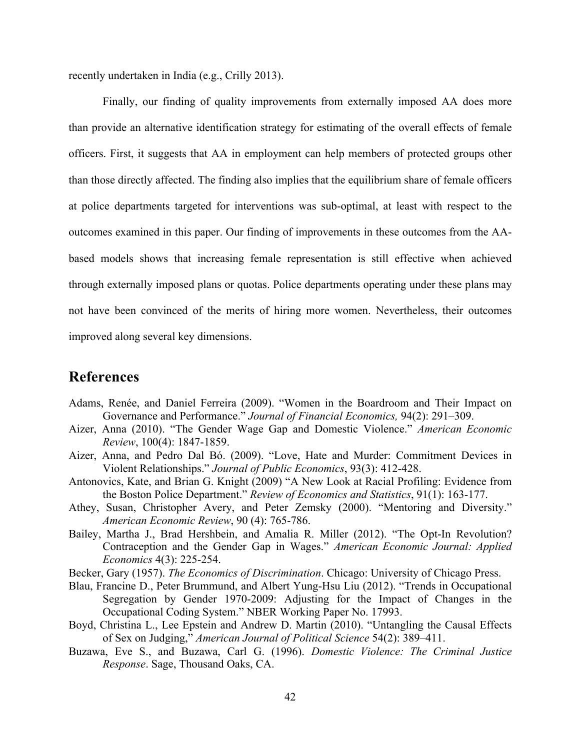recently undertaken in India (e.g., Crilly 2013).

Finally, our finding of quality improvements from externally imposed AA does more than provide an alternative identification strategy for estimating of the overall effects of female officers. First, it suggests that AA in employment can help members of protected groups other than those directly affected. The finding also implies that the equilibrium share of female officers at police departments targeted for interventions was sub-optimal, at least with respect to the outcomes examined in this paper. Our finding of improvements in these outcomes from the AAbased models shows that increasing female representation is still effective when achieved through externally imposed plans or quotas. Police departments operating under these plans may not have been convinced of the merits of hiring more women. Nevertheless, their outcomes improved along several key dimensions.

## **References**

- Adams, Renée, and Daniel Ferreira (2009). "Women in the Boardroom and Their Impact on Governance and Performance." *Journal of Financial Economics,* 94(2): 291–309.
- Aizer, Anna (2010). "The Gender Wage Gap and Domestic Violence." *American Economic Review*, 100(4): 1847-1859.
- Aizer, Anna, and Pedro Dal Bó. (2009). "Love, Hate and Murder: Commitment Devices in Violent Relationships." *Journal of Public Economics*, 93(3): 412-428.
- Antonovics, Kate, and Brian G. Knight (2009) "A New Look at Racial Profiling: Evidence from the Boston Police Department." *Review of Economics and Statistics*, 91(1): 163-177.
- Athey, Susan, Christopher Avery, and Peter Zemsky (2000). "Mentoring and Diversity." *American Economic Review*, 90 (4): 765-786.
- Bailey, Martha J., Brad Hershbein, and Amalia R. Miller (2012). "The Opt-In Revolution? Contraception and the Gender Gap in Wages." *American Economic Journal: Applied Economics* 4(3): 225-254.
- Becker, Gary (1957). *The Economics of Discrimination*. Chicago: University of Chicago Press.
- Blau, Francine D., Peter Brummund, and Albert Yung-Hsu Liu (2012). "Trends in Occupational Segregation by Gender 1970-2009: Adjusting for the Impact of Changes in the Occupational Coding System." NBER Working Paper No. 17993.
- Boyd, Christina L., Lee Epstein and Andrew D. Martin (2010). "Untangling the Causal Effects of Sex on Judging," *American Journal of Political Science* 54(2): 389–411.
- Buzawa, Eve S., and Buzawa, Carl G. (1996). *Domestic Violence: The Criminal Justice Response*. Sage, Thousand Oaks, CA.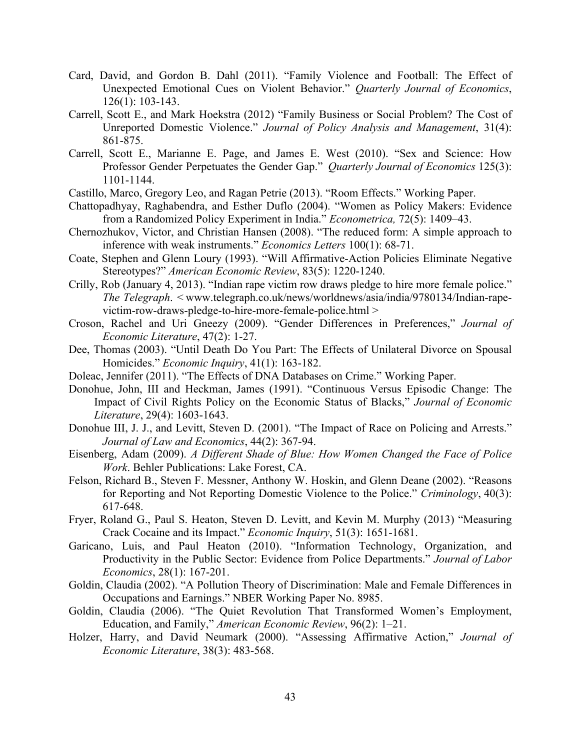- Card, David, and Gordon B. Dahl (2011). "Family Violence and Football: The Effect of Unexpected Emotional Cues on Violent Behavior." *Quarterly Journal of Economics*, 126(1): 103-143.
- Carrell, Scott E., and Mark Hoekstra (2012) "Family Business or Social Problem? The Cost of Unreported Domestic Violence." *Journal of Policy Analysis and Management*, 31(4): 861-875.
- Carrell, Scott E., Marianne E. Page, and James E. West (2010). "Sex and Science: How Professor Gender Perpetuates the Gender Gap." *Quarterly Journal of Economics* 125(3): 1101-1144.

Castillo, Marco, Gregory Leo, and Ragan Petrie (2013). "Room Effects." Working Paper.

- Chattopadhyay, Raghabendra, and Esther Duflo (2004). "Women as Policy Makers: Evidence from a Randomized Policy Experiment in India." *Econometrica,* 72(5): 1409–43.
- Chernozhukov, Victor, and Christian Hansen (2008). "The reduced form: A simple approach to inference with weak instruments." *Economics Letters* 100(1): 68-71.
- Coate, Stephen and Glenn Loury (1993). "Will Affirmative-Action Policies Eliminate Negative Stereotypes?" *American Economic Review*, 83(5): 1220-1240.
- Crilly, Rob (January 4, 2013). "Indian rape victim row draws pledge to hire more female police." *The Telegraph*. < www.telegraph.co.uk/news/worldnews/asia/india/9780134/Indian-rapevictim-row-draws-pledge-to-hire-more-female-police.html >
- Croson, Rachel and Uri Gneezy (2009). "Gender Differences in Preferences," *Journal of Economic Literature*, 47(2): 1-27.
- Dee, Thomas (2003). "Until Death Do You Part: The Effects of Unilateral Divorce on Spousal Homicides." *Economic Inquiry*, 41(1): 163-182.
- Doleac, Jennifer (2011). "The Effects of DNA Databases on Crime." Working Paper.
- Donohue, John, III and Heckman, James (1991). "Continuous Versus Episodic Change: The Impact of Civil Rights Policy on the Economic Status of Blacks," *Journal of Economic Literature*, 29(4): 1603-1643.
- Donohue III, J. J., and Levitt, Steven D. (2001). "The Impact of Race on Policing and Arrests." *Journal of Law and Economics*, 44(2): 367-94.
- Eisenberg, Adam (2009). *A Different Shade of Blue: How Women Changed the Face of Police Work*. Behler Publications: Lake Forest, CA.
- Felson, Richard B., Steven F. Messner, Anthony W. Hoskin, and Glenn Deane (2002). "Reasons for Reporting and Not Reporting Domestic Violence to the Police." *Criminology*, 40(3): 617-648.
- Fryer, Roland G., Paul S. Heaton, Steven D. Levitt, and Kevin M. Murphy (2013) "Measuring Crack Cocaine and its Impact." *Economic Inquiry*, 51(3): 1651-1681.
- Garicano, Luis, and Paul Heaton (2010). "Information Technology, Organization, and Productivity in the Public Sector: Evidence from Police Departments." *Journal of Labor Economics*, 28(1): 167-201.
- Goldin, Claudia (2002). "A Pollution Theory of Discrimination: Male and Female Differences in Occupations and Earnings." NBER Working Paper No. 8985.
- Goldin, Claudia (2006). "The Quiet Revolution That Transformed Women's Employment, Education, and Family," *American Economic Review*, 96(2): 1–21.
- Holzer, Harry, and David Neumark (2000). "Assessing Affirmative Action," *Journal of Economic Literature*, 38(3): 483-568.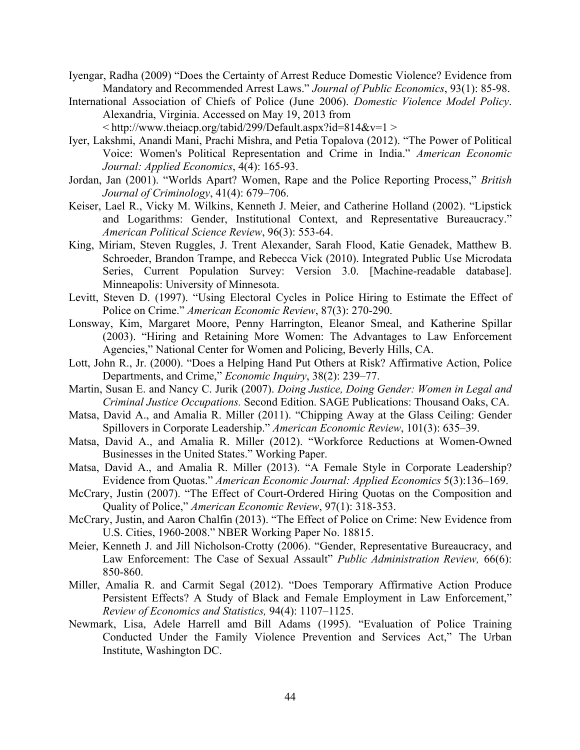- Iyengar, Radha (2009) "Does the Certainty of Arrest Reduce Domestic Violence? Evidence from Mandatory and Recommended Arrest Laws." *Journal of Public Economics*, 93(1): 85-98.
- International Association of Chiefs of Police (June 2006). *Domestic Violence Model Policy*. Alexandria, Virginia. Accessed on May 19, 2013 from  $\langle \text{http://www.theiacp.org/tabid/299/Default.aspx?id=814&v=1 \rangle$
- Iyer, Lakshmi, Anandi Mani, Prachi Mishra, and Petia Topalova (2012). "The Power of Political Voice: Women's Political Representation and Crime in India." *American Economic Journal: Applied Economics*, 4(4): 165-93.
- Jordan, Jan (2001). "Worlds Apart? Women, Rape and the Police Reporting Process," *British Journal of Criminology*, 41(4): 679–706.
- Keiser, Lael R., Vicky M. Wilkins, Kenneth J. Meier, and Catherine Holland (2002). "Lipstick and Logarithms: Gender, Institutional Context, and Representative Bureaucracy." *American Political Science Review*, 96(3): 553-64.
- King, Miriam, Steven Ruggles, J. Trent Alexander, Sarah Flood, Katie Genadek, Matthew B. Schroeder, Brandon Trampe, and Rebecca Vick (2010). Integrated Public Use Microdata Series, Current Population Survey: Version 3.0. [Machine-readable database]. Minneapolis: University of Minnesota.
- Levitt, Steven D. (1997). "Using Electoral Cycles in Police Hiring to Estimate the Effect of Police on Crime." *American Economic Review*, 87(3): 270-290.
- Lonsway, Kim, Margaret Moore, Penny Harrington, Eleanor Smeal, and Katherine Spillar (2003). "Hiring and Retaining More Women: The Advantages to Law Enforcement Agencies," National Center for Women and Policing, Beverly Hills, CA.
- Lott, John R., Jr. (2000). "Does a Helping Hand Put Others at Risk? Affirmative Action, Police Departments, and Crime," *Economic Inquiry*, 38(2): 239–77.
- Martin, Susan E. and Nancy C. Jurik (2007). *Doing Justice, Doing Gender: Women in Legal and Criminal Justice Occupations.* Second Edition. SAGE Publications: Thousand Oaks, CA.
- Matsa, David A., and Amalia R. Miller (2011). "Chipping Away at the Glass Ceiling: Gender Spillovers in Corporate Leadership." *American Economic Review*, 101(3): 635–39.
- Matsa, David A., and Amalia R. Miller (2012). "Workforce Reductions at Women-Owned Businesses in the United States." Working Paper.
- Matsa, David A., and Amalia R. Miller (2013). "A Female Style in Corporate Leadership? Evidence from Quotas." *American Economic Journal: Applied Economics* 5(3):136–169.
- McCrary, Justin (2007). "The Effect of Court-Ordered Hiring Quotas on the Composition and Quality of Police," *American Economic Review*, 97(1): 318-353.
- McCrary, Justin, and Aaron Chalfin (2013). "The Effect of Police on Crime: New Evidence from U.S. Cities, 1960-2008." NBER Working Paper No. 18815.
- Meier, Kenneth J. and Jill Nicholson-Crotty (2006). "Gender, Representative Bureaucracy, and Law Enforcement: The Case of Sexual Assault" *Public Administration Review,* 66(6): 850-860.
- Miller, Amalia R. and Carmit Segal (2012). "Does Temporary Affirmative Action Produce Persistent Effects? A Study of Black and Female Employment in Law Enforcement," *Review of Economics and Statistics,* 94(4): 1107–1125.
- Newmark, Lisa, Adele Harrell amd Bill Adams (1995). "Evaluation of Police Training Conducted Under the Family Violence Prevention and Services Act," The Urban Institute, Washington DC.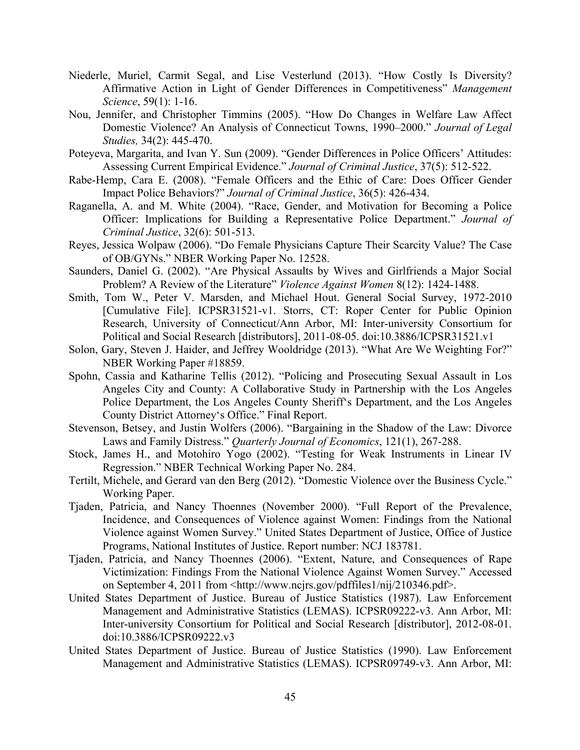- Niederle, Muriel, Carmit Segal, and Lise Vesterlund (2013). "How Costly Is Diversity? Affirmative Action in Light of Gender Differences in Competitiveness" *Management Science*, 59(1): 1-16.
- Nou, Jennifer, and Christopher Timmins (2005). "How Do Changes in Welfare Law Affect Domestic Violence? An Analysis of Connecticut Towns, 1990–2000." *Journal of Legal Studies,* 34(2): 445-470.
- Poteyeva, Margarita, and Ivan Y. Sun (2009). "Gender Differences in Police Officers' Attitudes: Assessing Current Empirical Evidence." *Journal of Criminal Justice*, 37(5): 512-522.
- Rabe-Hemp, Cara E. (2008). "Female Officers and the Ethic of Care: Does Officer Gender Impact Police Behaviors?" *Journal of Criminal Justice*, 36(5): 426-434.
- Raganella, A. and M. White (2004). "Race, Gender, and Motivation for Becoming a Police Officer: Implications for Building a Representative Police Department." *Journal of Criminal Justice*, 32(6): 501-513.
- Reyes, Jessica Wolpaw (2006). "Do Female Physicians Capture Their Scarcity Value? The Case of OB/GYNs." NBER Working Paper No. 12528.
- Saunders, Daniel G. (2002). "Are Physical Assaults by Wives and Girlfriends a Major Social Problem? A Review of the Literature" *Violence Against Women* 8(12): 1424-1488.
- Smith, Tom W., Peter V. Marsden, and Michael Hout. General Social Survey, 1972-2010 [Cumulative File]. ICPSR31521-v1. Storrs, CT: Roper Center for Public Opinion Research, University of Connecticut/Ann Arbor, MI: Inter-university Consortium for Political and Social Research [distributors], 2011-08-05. doi:10.3886/ICPSR31521.v1
- Solon, Gary, Steven J. Haider, and Jeffrey Wooldridge (2013). "What Are We Weighting For?" NBER Working Paper #18859.
- Spohn, Cassia and Katharine Tellis (2012). "Policing and Prosecuting Sexual Assault in Los Angeles City and County: A Collaborative Study in Partnership with the Los Angeles Police Department, the Los Angeles County Sheriff's Department, and the Los Angeles County District Attorney's Office." Final Report.
- Stevenson, Betsey, and Justin Wolfers (2006). "Bargaining in the Shadow of the Law: Divorce Laws and Family Distress." *Quarterly Journal of Economics*, 121(1), 267-288.
- Stock, James H., and Motohiro Yogo (2002). "Testing for Weak Instruments in Linear IV Regression." NBER Technical Working Paper No. 284.
- Tertilt, Michele, and Gerard van den Berg (2012). "Domestic Violence over the Business Cycle." Working Paper.
- Tjaden, Patricia, and Nancy Thoennes (November 2000). "Full Report of the Prevalence, Incidence, and Consequences of Violence against Women: Findings from the National Violence against Women Survey." United States Department of Justice, Office of Justice Programs, National Institutes of Justice. Report number: NCJ 183781.
- Tjaden, Patricia, and Nancy Thoennes (2006). "Extent, Nature, and Consequences of Rape Victimization: Findings From the National Violence Against Women Survey." Accessed on September 4, 2011 from <http://www.ncjrs.gov/pdffiles1/nij/210346.pdf>.
- United States Department of Justice. Bureau of Justice Statistics (1987). Law Enforcement Management and Administrative Statistics (LEMAS). ICPSR09222-v3. Ann Arbor, MI: Inter-university Consortium for Political and Social Research [distributor], 2012-08-01. doi:10.3886/ICPSR09222.v3
- United States Department of Justice. Bureau of Justice Statistics (1990). Law Enforcement Management and Administrative Statistics (LEMAS). ICPSR09749-v3. Ann Arbor, MI: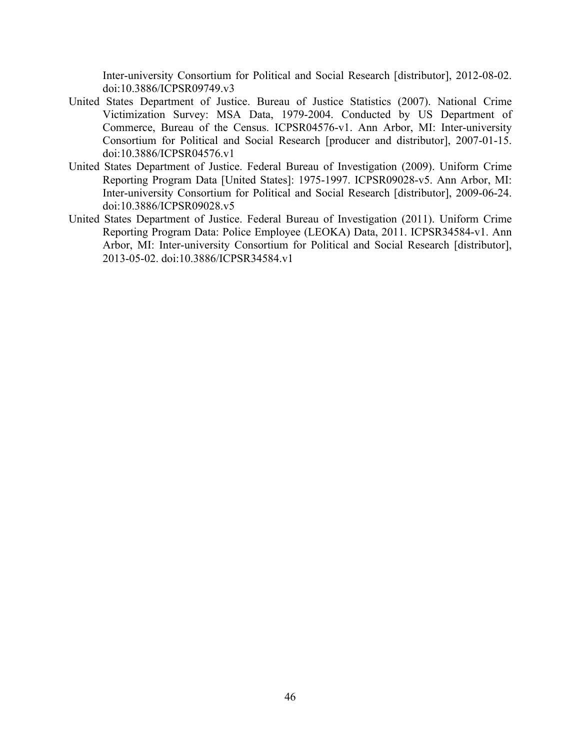Inter-university Consortium for Political and Social Research [distributor], 2012-08-02. doi:10.3886/ICPSR09749.v3

- United States Department of Justice. Bureau of Justice Statistics (2007). National Crime Victimization Survey: MSA Data, 1979-2004. Conducted by US Department of Commerce, Bureau of the Census. ICPSR04576-v1. Ann Arbor, MI: Inter-university Consortium for Political and Social Research [producer and distributor], 2007-01-15. doi:10.3886/ICPSR04576.v1
- United States Department of Justice. Federal Bureau of Investigation (2009). Uniform Crime Reporting Program Data [United States]: 1975-1997. ICPSR09028-v5. Ann Arbor, MI: Inter-university Consortium for Political and Social Research [distributor], 2009-06-24. doi:10.3886/ICPSR09028.v5
- United States Department of Justice. Federal Bureau of Investigation (2011). Uniform Crime Reporting Program Data: Police Employee (LEOKA) Data, 2011. ICPSR34584-v1. Ann Arbor, MI: Inter-university Consortium for Political and Social Research [distributor], 2013-05-02. doi:10.3886/ICPSR34584.v1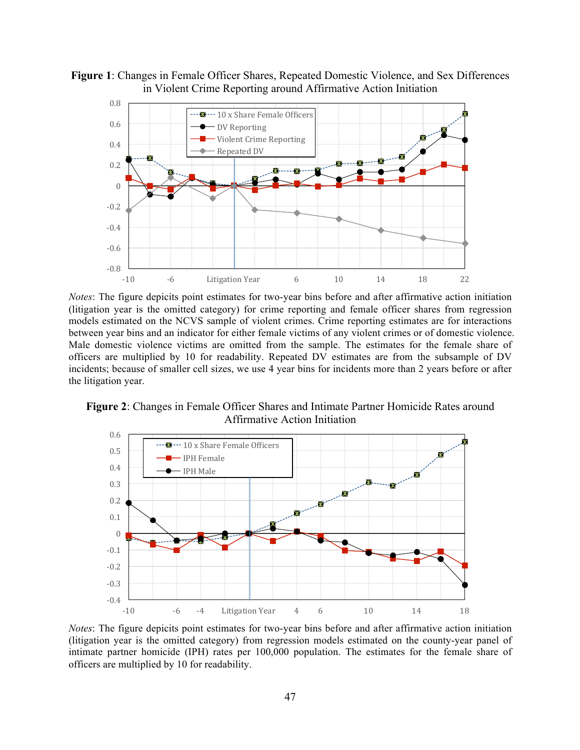**Figure 1**: Changes in Female Officer Shares, Repeated Domestic Violence, and Sex Differences in Violent Crime Reporting around Affirmative Action Initiation



*Notes*: The figure depicits point estimates for two-year bins before and after affirmative action initiation (litigation year is the omitted category) for crime reporting and female officer shares from regression models estimated on the NCVS sample of violent crimes. Crime reporting estimates are for interactions between year bins and an indicator for either female victims of any violent crimes or of domestic violence. Male domestic violence victims are omitted from the sample. The estimates for the female share of officers are multiplied by 10 for readability. Repeated DV estimates are from the subsample of DV incidents; because of smaller cell sizes, we use 4 year bins for incidents more than 2 years before or after the litigation year.

**Figure 2**: Changes in Female Officer Shares and Intimate Partner Homicide Rates around Affirmative Action Initiation



*Notes*: The figure depicits point estimates for two-year bins before and after affirmative action initiation (litigation year is the omitted category) from regression models estimated on the county-year panel of intimate partner homicide (IPH) rates per 100,000 population. The estimates for the female share of officers are multiplied by 10 for readability.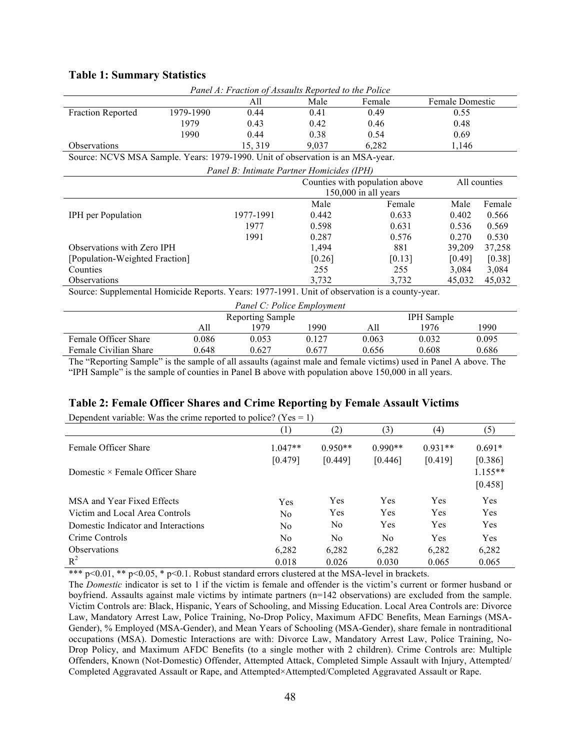| Panel A: Fraction of Assaults Reported to the Police                           |           |                                           |                                                |        |                 |        |  |
|--------------------------------------------------------------------------------|-----------|-------------------------------------------|------------------------------------------------|--------|-----------------|--------|--|
|                                                                                |           | All                                       | Male                                           | Female | Female Domestic |        |  |
| <b>Fraction Reported</b>                                                       | 1979-1990 | 0.44                                      | 0.41                                           | 0.49   |                 |        |  |
|                                                                                | 1979      | 0.43                                      | 0.42                                           | 0.46   | 0.48            |        |  |
|                                                                                | 1990      | 0.44                                      | 0.38                                           | 0.54   | 0.69            |        |  |
| <b>Observations</b>                                                            |           | 15, 319                                   | 9.037                                          | 6,282  | 1,146           |        |  |
| Source: NCVS MSA Sample. Years: 1979-1990. Unit of observation is an MSA-year. |           |                                           |                                                |        |                 |        |  |
|                                                                                |           | Panel B: Intimate Partner Homicides (IPH) |                                                |        |                 |        |  |
|                                                                                |           |                                           | Counties with population above<br>All counties |        |                 |        |  |
|                                                                                |           |                                           | $150,000$ in all years                         |        |                 |        |  |
|                                                                                |           |                                           | Male                                           | Female | Male            | Female |  |
| <b>IPH</b> per Population                                                      |           | 1977-1991                                 | 0.442                                          | 0.633  | 0.402           | 0.566  |  |
|                                                                                |           | 1977                                      | 0.598                                          | 0.631  | 0.536           | 0.569  |  |
|                                                                                |           | 1991                                      | 0.287                                          | 0.576  | 0.270           | 0.530  |  |
| Observations with Zero IPH                                                     |           |                                           | 1.494                                          | 881    | 39,209          | 37,258 |  |

#### **Table 1: Summary Statistics**

[Population-Weighted Fraction]

Source: Supplemental Homicide Reports. Years: 1977-1991. Unit of observation is a county-year.

| Panel C: Police Employment |       |                         |       |       |                   |       |  |
|----------------------------|-------|-------------------------|-------|-------|-------------------|-------|--|
|                            |       | <b>Reporting Sample</b> |       |       | <b>IPH</b> Sample |       |  |
|                            | All   | 1979                    | 1990  | All   | 1976              | 1990  |  |
| Female Officer Share       | 0.086 | 0.053                   | 0.127 | 0.063 | 0.032             | 0.095 |  |
| Female Civilian Share      | 0.648 | 0.627                   | 0.677 | 0.656 | 0.608             | 0.686 |  |

Counties 255 255 3,084 3,084 Observations 3,732 45,032 45,032 45,032 45,032 45,032 45,032 45,032 45,032 45,032 45,032 45,032 45,032 45,032 45,032 45,032 45,032 45,032 45,032 45,032 45,032 45,032 45,032 45,032 45,032 45,032 45,032 45,032 45,032 45,032

[0.26]

[0.13]

[0.49]

[0.38]

The "Reporting Sample" is the sample of all assaults (against male and female victims) used in Panel A above. The "IPH Sample" is the sample of counties in Panel B above with population above 150,000 in all years.

### **Table 2: Female Officer Shares and Crime Reporting by Female Assault Victims**

(1) (2) (3) (4) (5) Female Officer Share  $1.047**$   $0.950**$   $0.990**$   $0.931**$   $0.691*$ [0.479] [0.449] [0.446] [0.419] [0.386] Domestic × Female Officer Share 1.155\*\* [0.458] MSA and Year Fixed Effects Tes Yes Yes Yes Yes Yes Yes Yes Victim and Local Area Controls No Yes Yes Yes Yes Yes Domestic Indicator and Interactions No No Yes Yes Yes Yes Crime Controls No No No Yes Yes Observations 6,282 6,282 6,282 6,282 6,282  $R^2$  0.018 0.026 0.030 0.065 0.065

Dependent variable: Was the crime reported to police? ( $Yes = 1$ )

\*\*\* p<0.01, \*\* p<0.05, \* p<0.1. Robust standard errors clustered at the MSA-level in brackets.

The *Domestic* indicator is set to 1 if the victim is female and offender is the victim's current or former husband or boyfriend. Assaults against male victims by intimate partners (n=142 observations) are excluded from the sample. Victim Controls are: Black, Hispanic, Years of Schooling, and Missing Education. Local Area Controls are: Divorce Law, Mandatory Arrest Law, Police Training, No-Drop Policy, Maximum AFDC Benefits, Mean Earnings (MSA-Gender), % Employed (MSA-Gender), and Mean Years of Schooling (MSA-Gender), share female in nontraditional occupations (MSA). Domestic Interactions are with: Divorce Law, Mandatory Arrest Law, Police Training, No-Drop Policy, and Maximum AFDC Benefits (to a single mother with 2 children). Crime Controls are: Multiple Offenders, Known (Not-Domestic) Offender, Attempted Attack, Completed Simple Assault with Injury, Attempted/ Completed Aggravated Assault or Rape, and Attempted×Attempted/Completed Aggravated Assault or Rape.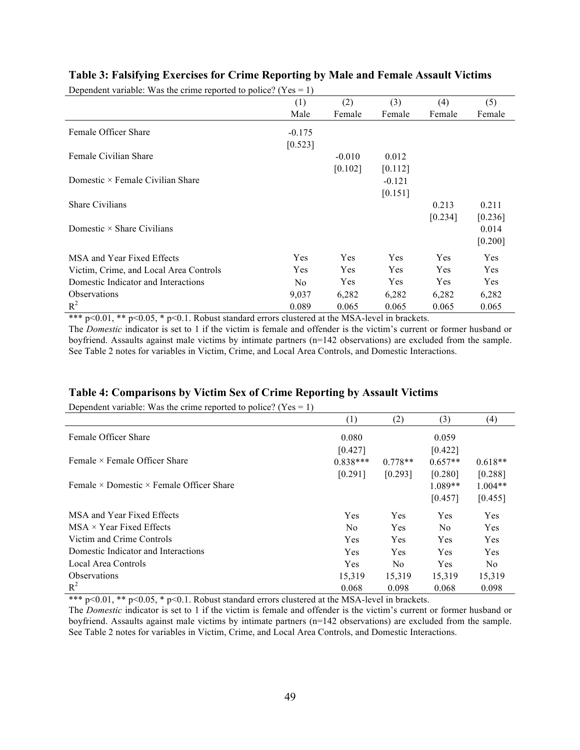| Dependent variable: Was the crime reported to police? ( $Yes = 1$ ) |                |            |            |            |            |
|---------------------------------------------------------------------|----------------|------------|------------|------------|------------|
|                                                                     | (1)            | (2)        | (3)        | (4)        | (5)        |
|                                                                     | Male           | Female     | Female     | Female     | Female     |
| Female Officer Share                                                | $-0.175$       |            |            |            |            |
|                                                                     | [0.523]        |            |            |            |            |
| Female Civilian Share                                               |                | $-0.010$   | 0.012      |            |            |
|                                                                     |                | [0.102]    | [0.112]    |            |            |
| Domestic $\times$ Female Civilian Share                             |                |            | $-0.121$   |            |            |
|                                                                     |                |            | [0.151]    |            |            |
| <b>Share Civilians</b>                                              |                |            |            | 0.213      | 0.211      |
|                                                                     |                |            |            | [0.234]    | [0.236]    |
| Domestic $\times$ Share Civilians                                   |                |            |            |            | 0.014      |
|                                                                     |                |            |            |            | [0.200]    |
| MSA and Year Fixed Effects                                          | <b>Yes</b>     | <b>Yes</b> | <b>Yes</b> | <b>Yes</b> | <b>Yes</b> |
| Victim, Crime, and Local Area Controls                              | <b>Yes</b>     | Yes        | <b>Yes</b> | <b>Yes</b> | Yes        |
| Domestic Indicator and Interactions                                 | N <sub>o</sub> | Yes        | Yes        | <b>Yes</b> | <b>Yes</b> |
| <b>Observations</b>                                                 | 9,037          | 6,282      | 6,282      | 6,282      | 6,282      |
| $R^2$                                                               | 0.089          | 0.065      | 0.065      | 0.065      | 0.065      |

### **Table 3: Falsifying Exercises for Crime Reporting by Male and Female Assault Victims**

\*\*\*  $p \le 0.01$ , \*\*  $p \le 0.05$ , \*  $p \le 0.1$ . Robust standard errors clustered at the MSA-level in brackets.

The *Domestic* indicator is set to 1 if the victim is female and offender is the victim's current or former husband or boyfriend. Assaults against male victims by intimate partners (n=142 observations) are excluded from the sample. See Table 2 notes for variables in Victim, Crime, and Local Area Controls, and Domestic Interactions.

### **Table 4: Comparisons by Victim Sex of Crime Reporting by Assault Victims**

Dependent variable: Was the crime reported to police? (Yes  $= 1$ )

|                                                        | (1)            | (2)        | (3)            | (4)        |
|--------------------------------------------------------|----------------|------------|----------------|------------|
| Female Officer Share                                   | 0.080          |            | 0.059          |            |
|                                                        | [0.427]        |            | [0.422]        |            |
| Female $\times$ Female Officer Share                   | $0.838***$     | $0.778**$  | $0.657**$      | $0.618**$  |
|                                                        | [0.291]        | [0.293]    | [0.280]        | [0.288]    |
| Female $\times$ Domestic $\times$ Female Officer Share |                |            | $1.089**$      | $1.004**$  |
|                                                        |                |            | [0.457]        | [0.455]    |
| MSA and Year Fixed Effects                             | <b>Yes</b>     | <b>Yes</b> | <b>Yes</b>     | Yes        |
| $MSA \times Year$ Fixed Effects                        | N <sub>0</sub> | <b>Yes</b> | N <sub>0</sub> | <b>Yes</b> |
| Victim and Crime Controls                              | <b>Yes</b>     | <b>Yes</b> | <b>Yes</b>     | Yes        |
| Domestic Indicator and Interactions                    | <b>Yes</b>     | <b>Yes</b> | <b>Yes</b>     | <b>Yes</b> |
| Local Area Controls                                    | <b>Yes</b>     | No.        | <b>Yes</b>     | No.        |
| <b>Observations</b>                                    | 15,319         | 15,319     | 15,319         | 15,319     |
| $R^2$                                                  | 0.068          | 0.098      | 0.068          | 0.098      |

\*\*\* p<0.01, \*\* p<0.05, \* p<0.1. Robust standard errors clustered at the MSA-level in brackets.

The *Domestic* indicator is set to 1 if the victim is female and offender is the victim's current or former husband or boyfriend. Assaults against male victims by intimate partners (n=142 observations) are excluded from the sample. See Table 2 notes for variables in Victim, Crime, and Local Area Controls, and Domestic Interactions.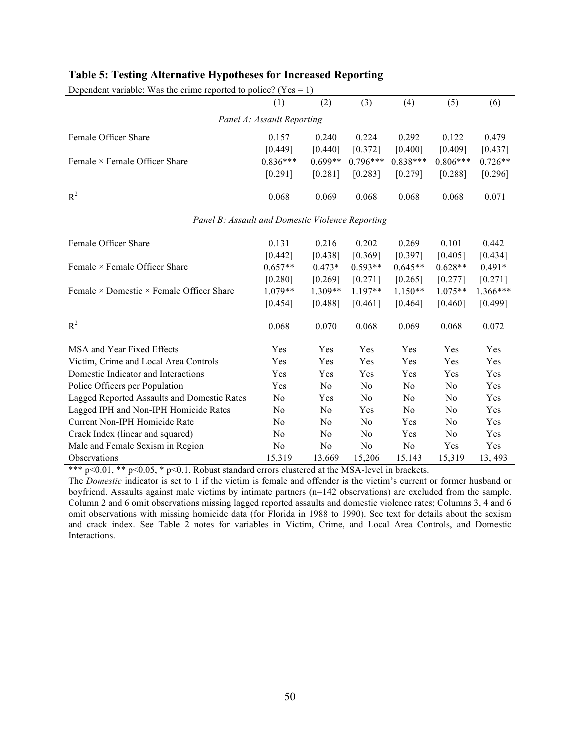| Dependent variable. Was the crime reported to police? ( $\text{res} = 1$ ) |            |                |                |            |                |            |  |
|----------------------------------------------------------------------------|------------|----------------|----------------|------------|----------------|------------|--|
|                                                                            | (1)        | (2)            | (3)            | (4)        | (5)            | (6)        |  |
| Panel A: Assault Reporting                                                 |            |                |                |            |                |            |  |
| Female Officer Share                                                       | 0.157      | 0.240          | 0.224          | 0.292      | 0.122          | 0.479      |  |
|                                                                            | [0.449]    | [0.440]        | [0.372]        | [0.400]    | [0.409]        | [0.437]    |  |
| Female $\times$ Female Officer Share                                       | $0.836***$ | $0.699**$      | $0.796***$     | $0.838***$ | $0.806***$     | $0.726**$  |  |
|                                                                            | [0.291]    | [0.281]        | [0.283]        | [0.279]    | [0.288]        | [0.296]    |  |
| $R^2$                                                                      | 0.068      | 0.069          | 0.068          | 0.068      | 0.068          | 0.071      |  |
| Panel B: Assault and Domestic Violence Reporting                           |            |                |                |            |                |            |  |
| Female Officer Share                                                       | 0.131      | 0.216          | 0.202          | 0.269      | 0.101          | 0.442      |  |
|                                                                            | [0.442]    | [0.438]        | [0.369]        | [0.397]    | [0.405]        | [0.434]    |  |
| Female × Female Officer Share                                              | $0.657**$  | $0.473*$       | $0.593**$      | $0.645**$  | $0.628**$      | $0.491*$   |  |
|                                                                            | [0.280]    | [0.269]        | [0.271]        | [0.265]    | [0.277]        | [0.271]    |  |
| Female $\times$ Domestic $\times$ Female Officer Share                     | $1.079**$  | 1.309**        | 1.197**        | $1.150**$  | $1.075**$      | $1.366***$ |  |
|                                                                            | [0.454]    | [0.488]        | [0.461]        | [0.464]    | [0.460]        | [0.499]    |  |
| $R^2$                                                                      | 0.068      | 0.070          | 0.068          | 0.069      | 0.068          | 0.072      |  |
| MSA and Year Fixed Effects                                                 | Yes        | Yes            | Yes            | Yes        | Yes            | Yes        |  |
| Victim, Crime and Local Area Controls                                      | Yes        | Yes            | Yes            | Yes        | Yes            | Yes        |  |
| Domestic Indicator and Interactions                                        | Yes        | Yes            | Yes            | Yes        | Yes            | Yes        |  |
| Police Officers per Population                                             | Yes        | N <sub>0</sub> | N <sub>0</sub> | No         | N <sub>o</sub> | Yes        |  |
| Lagged Reported Assaults and Domestic Rates                                | No         | Yes            | No             | No         | N <sub>0</sub> | Yes        |  |
| Lagged IPH and Non-IPH Homicide Rates                                      | No         | No             | Yes            | No         | N <sub>0</sub> | Yes        |  |
| Current Non-IPH Homicide Rate                                              | No         | N <sub>0</sub> | N <sub>0</sub> | Yes        | N <sub>0</sub> | Yes        |  |
| Crack Index (linear and squared)                                           | No         | No             | No             | Yes        | N <sub>0</sub> | Yes        |  |
| Male and Female Sexism in Region                                           | No         | No             | No             | No         | Yes            | Yes        |  |
| <b>Observations</b>                                                        | 15,319     | 13,669         | 15,206         | 15,143     | 15,319         | 13, 493    |  |

## **Table 5: Testing Alternative Hypotheses for Increased Reporting**

Dependent variable: Was the crime reported to police? ( $Y_{\text{PS}} = 1$ )

\*\*\*  $p<0.01$ , \*\*  $p<0.05$ , \*  $p<0.1$ . Robust standard errors clustered at the MSA-level in brackets.

The *Domestic* indicator is set to 1 if the victim is female and offender is the victim's current or former husband or boyfriend. Assaults against male victims by intimate partners (n=142 observations) are excluded from the sample. Column 2 and 6 omit observations missing lagged reported assaults and domestic violence rates; Columns 3, 4 and 6 omit observations with missing homicide data (for Florida in 1988 to 1990). See text for details about the sexism and crack index. See Table 2 notes for variables in Victim, Crime, and Local Area Controls, and Domestic Interactions.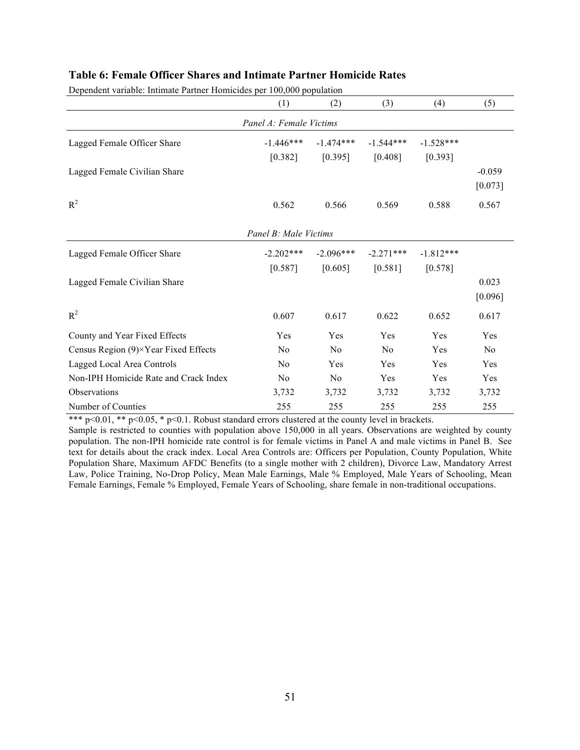| Dependent variable: Intimate Partner Homicides per 100,000 population |                         |                |                |             |                |
|-----------------------------------------------------------------------|-------------------------|----------------|----------------|-------------|----------------|
|                                                                       | (1)                     | (2)            | (3)            | (4)         | (5)            |
|                                                                       | Panel A: Female Victims |                |                |             |                |
| Lagged Female Officer Share                                           | $-1.446***$             | $-1.474***$    | $-1.544***$    | $-1.528***$ |                |
|                                                                       | [0.382]                 | [0.395]        | [0.408]        | [0.393]     |                |
| Lagged Female Civilian Share                                          |                         |                |                |             | $-0.059$       |
|                                                                       |                         |                |                |             | [0.073]        |
| $R^2$                                                                 | 0.562                   | 0.566          | 0.569          | 0.588       | 0.567          |
|                                                                       | Panel B: Male Victims   |                |                |             |                |
| Lagged Female Officer Share                                           | $-2.202***$             | $-2.096***$    | $-2.271***$    | $-1.812***$ |                |
|                                                                       | [0.587]                 | [0.605]        | [0.581]        | [0.578]     |                |
| Lagged Female Civilian Share                                          |                         |                |                |             | 0.023          |
|                                                                       |                         |                |                |             | [0.096]        |
| $R^2$                                                                 | 0.607                   | 0.617          | 0.622          | 0.652       | 0.617          |
| County and Year Fixed Effects                                         | Yes                     | Yes            | Yes            | Yes         | Yes            |
| Census Region (9)×Year Fixed Effects                                  | N <sub>0</sub>          | N <sub>0</sub> | N <sub>0</sub> | Yes         | N <sub>0</sub> |
| Lagged Local Area Controls                                            | No                      | Yes            | Yes            | Yes         | Yes            |
| Non-IPH Homicide Rate and Crack Index                                 | N <sub>0</sub>          | N <sub>0</sub> | Yes            | Yes         | Yes            |
| Observations                                                          | 3,732                   | 3,732          | 3,732          | 3,732       | 3,732          |
| Number of Counties                                                    | 255                     | 255            | 255            | 255         | 255            |

### **Table 6: Female Officer Shares and Intimate Partner Homicide Rates**

\*\*\* p<0.01, \*\* p<0.05, \* p<0.1. Robust standard errors clustered at the county level in brackets.

Sample is restricted to counties with population above 150,000 in all years. Observations are weighted by county population. The non-IPH homicide rate control is for female victims in Panel A and male victims in Panel B. See text for details about the crack index. Local Area Controls are: Officers per Population, County Population, White Population Share, Maximum AFDC Benefits (to a single mother with 2 children), Divorce Law, Mandatory Arrest Law, Police Training, No-Drop Policy, Mean Male Earnings, Male % Employed, Male Years of Schooling, Mean Female Earnings, Female % Employed, Female Years of Schooling, share female in non-traditional occupations.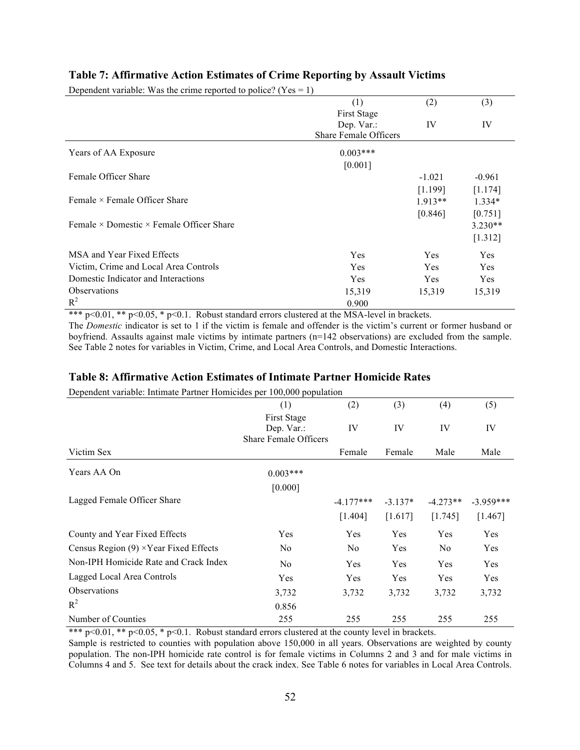| Dependent variable: Was the crime reported to police? (Yes = 1) |                              |            |           |
|-----------------------------------------------------------------|------------------------------|------------|-----------|
|                                                                 | (1)                          | (2)        | (3)       |
|                                                                 | First Stage                  |            |           |
|                                                                 | Dep. Var.:                   | IV         | IV        |
|                                                                 | <b>Share Female Officers</b> |            |           |
| Years of AA Exposure                                            | $0.003***$                   |            |           |
|                                                                 | [0.001]                      |            |           |
| Female Officer Share                                            |                              | $-1.021$   | $-0.961$  |
|                                                                 |                              | [1.199]    | [1.174]   |
| Female $\times$ Female Officer Share                            |                              | $1.913**$  | $1.334*$  |
|                                                                 |                              | [0.846]    | [0.751]   |
| Female $\times$ Domestic $\times$ Female Officer Share          |                              |            | $3.230**$ |
|                                                                 |                              |            | [1.312]   |
| MSA and Year Fixed Effects                                      | Yes                          | <b>Yes</b> | Yes       |
| Victim, Crime and Local Area Controls                           | Yes                          | Yes        | Yes       |
| Domestic Indicator and Interactions                             | Yes                          | Yes        | Yes       |
| <b>Observations</b>                                             | 15,319                       | 15,319     | 15,319    |
| $R^2$                                                           | 0.900                        |            |           |

### **Table 7: Affirmative Action Estimates of Crime Reporting by Assault Victims**

\*\*\*  $p<0.01$ , \*\*  $p<0.05$ , \*  $p<0.1$ . Robust standard errors clustered at the MSA-level in brackets.

The *Domestic* indicator is set to 1 if the victim is female and offender is the victim's current or former husband or boyfriend. Assaults against male victims by intimate partners (n=142 observations) are excluded from the sample. See Table 2 notes for variables in Victim, Crime, and Local Area Controls, and Domestic Interactions.

### **Table 8: Affirmative Action Estimates of Intimate Partner Homicide Rates**

Dependent variable: Intimate Partner Homicides per 100,000 population

| Dependent (undore, municie i unifer fromfetdes per 100,000 population |                              |                |           |            |             |
|-----------------------------------------------------------------------|------------------------------|----------------|-----------|------------|-------------|
|                                                                       | (1)                          | (2)            | (3)       | (4)        | (5)         |
|                                                                       | <b>First Stage</b>           |                |           |            |             |
|                                                                       | Dep. Var.:                   | IV             | IV        | IV         | IV          |
|                                                                       | <b>Share Female Officers</b> |                |           |            |             |
| Victim Sex                                                            |                              | Female         | Female    | Male       | Male        |
| Years AA On                                                           | $0.003***$                   |                |           |            |             |
|                                                                       | [0.000]                      |                |           |            |             |
| Lagged Female Officer Share                                           |                              | $-4.177***$    | $-3.137*$ | $-4.273**$ | $-3.959***$ |
|                                                                       |                              | [1.404]        | [1.617]   | [1.745]    | [1.467]     |
| County and Year Fixed Effects                                         | Yes                          | Yes            | Yes       | Yes        | Yes         |
| Census Region $(9) \times$ Year Fixed Effects                         | N <sub>0</sub>               | N <sub>0</sub> | Yes       | No         | Yes         |
| Non-IPH Homicide Rate and Crack Index                                 | No                           | Yes            | Yes       | Yes        | Yes         |
| Lagged Local Area Controls                                            | Yes                          | Yes            | Yes       | Yes        | Yes         |
| <b>Observations</b>                                                   | 3,732                        | 3,732          | 3,732     | 3,732      | 3,732       |
| $R^2$                                                                 | 0.856                        |                |           |            |             |
| Number of Counties                                                    | 255                          | 255            | 255       | 255        | 255         |

\*\*\*  $p < 0.01$ , \*\*  $p < 0.05$ , \*  $p < 0.1$ . Robust standard errors clustered at the county level in brackets. Sample is restricted to counties with population above 150,000 in all years. Observations are weighted by county population. The non-IPH homicide rate control is for female victims in Columns 2 and 3 and for male victims in Columns 4 and 5. See text for details about the crack index. See Table 6 notes for variables in Local Area Controls.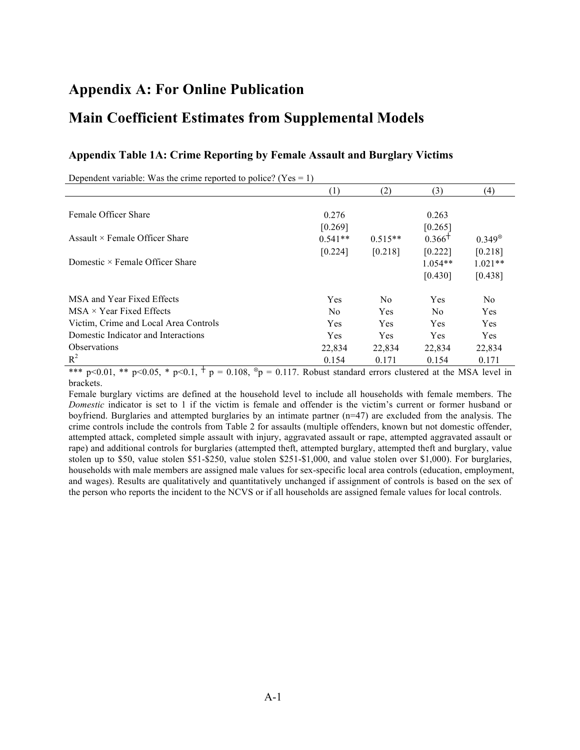## **Appendix A: For Online Publication**

## **Main Coefficient Estimates from Supplemental Models**

| Dependent variable: Was the crime reported to police? ( $Yes = 1$ ) |                |                |            |                 |
|---------------------------------------------------------------------|----------------|----------------|------------|-----------------|
|                                                                     | (1)            | (2)            | (3)        | (4)             |
|                                                                     |                |                |            |                 |
| Female Officer Share                                                | 0.276          |                | 0.263      |                 |
|                                                                     | [0.269]        |                | [0.265]    |                 |
| Assault $\times$ Female Officer Share                               | $0.541**$      | $0.515**$      | $0.366^+$  | $0.349^{\circ}$ |
|                                                                     | [0.224]        | [0.218]        | [0.222]    | [0.218]         |
| Domestic $\times$ Female Officer Share                              |                |                | $1.054**$  | $1.021**$       |
|                                                                     |                |                | [0.430]    | [0.438]         |
| MSA and Year Fixed Effects                                          | Yes            | N <sub>0</sub> | <b>Yes</b> | N <sub>0</sub>  |
| $MSA \times Year$ Fixed Effects                                     | N <sub>0</sub> | <b>Yes</b>     | No.        | Yes             |
| Victim, Crime and Local Area Controls                               | <b>Yes</b>     | Yes            | <b>Yes</b> | Yes             |
| Domestic Indicator and Interactions                                 | Yes            | <b>Yes</b>     | <b>Yes</b> | <b>Yes</b>      |
| <b>Observations</b>                                                 | 22,834         | 22,834         | 22,834     | 22,834          |
| $R^2$                                                               | 0.154          | 0.171          | 0.154      | 0.171           |

### **Appendix Table 1A: Crime Reporting by Female Assault and Burglary Victims**

\*\*\* p<0.01, \*\* p<0.05, \* p<0.1,  $\uparrow$  p = 0.108,  $\sp{\circ}$  p = 0.117. Robust standard errors clustered at the MSA level in brackets.

Female burglary victims are defined at the household level to include all households with female members. The *Domestic* indicator is set to 1 if the victim is female and offender is the victim's current or former husband or boyfriend. Burglaries and attempted burglaries by an intimate partner (n=47) are excluded from the analysis. The crime controls include the controls from Table 2 for assaults (multiple offenders, known but not domestic offender, attempted attack, completed simple assault with injury, aggravated assault or rape, attempted aggravated assault or rape) and additional controls for burglaries (attempted theft, attempted burglary, attempted theft and burglary, value stolen up to \$50, value stolen \$51-\$250, value stolen \$251-\$1,000, and value stolen over \$1,000). For burglaries, households with male members are assigned male values for sex-specific local area controls (education, employment, and wages). Results are qualitatively and quantitatively unchanged if assignment of controls is based on the sex of the person who reports the incident to the NCVS or if all households are assigned female values for local controls.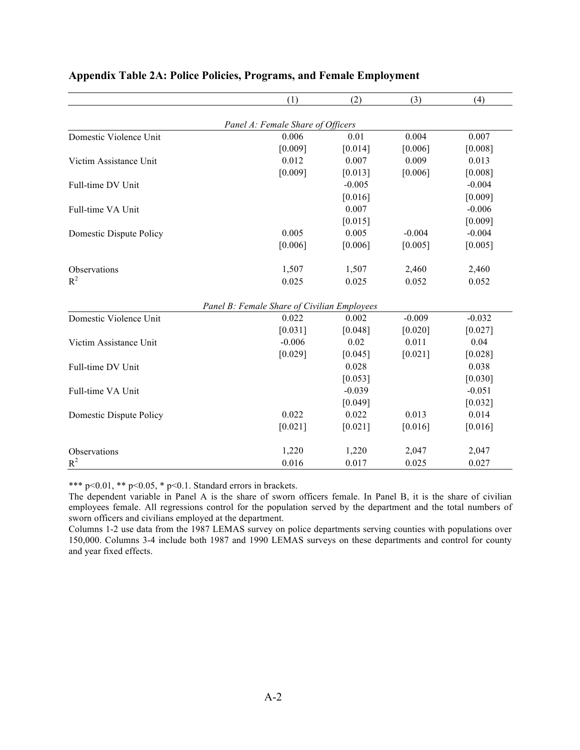|                         | (1)                                         | (2)      | (3)      | (4)      |
|-------------------------|---------------------------------------------|----------|----------|----------|
|                         | Panel A: Female Share of Officers           |          |          |          |
| Domestic Violence Unit  | 0.006                                       | 0.01     | 0.004    | 0.007    |
|                         | [0.009]                                     | [0.014]  | [0.006]  | [0.008]  |
| Victim Assistance Unit  | 0.012                                       | 0.007    | 0.009    | 0.013    |
|                         | [0.009]                                     | [0.013]  | [0.006]  | [0.008]  |
| Full-time DV Unit       |                                             | $-0.005$ |          | $-0.004$ |
|                         |                                             | [0.016]  |          | [0.009]  |
| Full-time VA Unit       |                                             | 0.007    |          | $-0.006$ |
|                         |                                             | [0.015]  |          | [0.009]  |
| Domestic Dispute Policy | 0.005                                       | 0.005    | $-0.004$ | $-0.004$ |
|                         | [0.006]                                     | [0.006]  | [0.005]  | [0.005]  |
| Observations            | 1,507                                       | 1,507    | 2,460    | 2,460    |
| $R^2$                   | 0.025                                       | 0.025    | 0.052    | 0.052    |
|                         | Panel B: Female Share of Civilian Employees |          |          |          |
| Domestic Violence Unit  | 0.022                                       | 0.002    | $-0.009$ | $-0.032$ |
|                         | [0.031]                                     | [0.048]  | [0.020]  | [0.027]  |
| Victim Assistance Unit  | $-0.006$                                    | 0.02     | 0.011    | 0.04     |
|                         | [0.029]                                     | [0.045]  | [0.021]  | [0.028]  |
| Full-time DV Unit       |                                             | 0.028    |          | 0.038    |
|                         |                                             | [0.053]  |          | [0.030]  |
| Full-time VA Unit       |                                             | $-0.039$ |          | $-0.051$ |
|                         |                                             | [0.049]  |          | [0.032]  |
| Domestic Dispute Policy | 0.022                                       | 0.022    | 0.013    | 0.014    |
|                         | [0.021]                                     | [0.021]  | [0.016]  | [0.016]  |
| Observations            | 1,220                                       | 1,220    | 2,047    | 2,047    |
| $R^2$                   | 0.016                                       | 0.017    | 0.025    | 0.027    |

## **Appendix Table 2A: Police Policies, Programs, and Female Employment**

\*\*\* p<0.01, \*\* p<0.05, \* p<0.1. Standard errors in brackets.

The dependent variable in Panel A is the share of sworn officers female. In Panel B, it is the share of civilian employees female. All regressions control for the population served by the department and the total numbers of sworn officers and civilians employed at the department.

Columns 1-2 use data from the 1987 LEMAS survey on police departments serving counties with populations over 150,000. Columns 3-4 include both 1987 and 1990 LEMAS surveys on these departments and control for county and year fixed effects.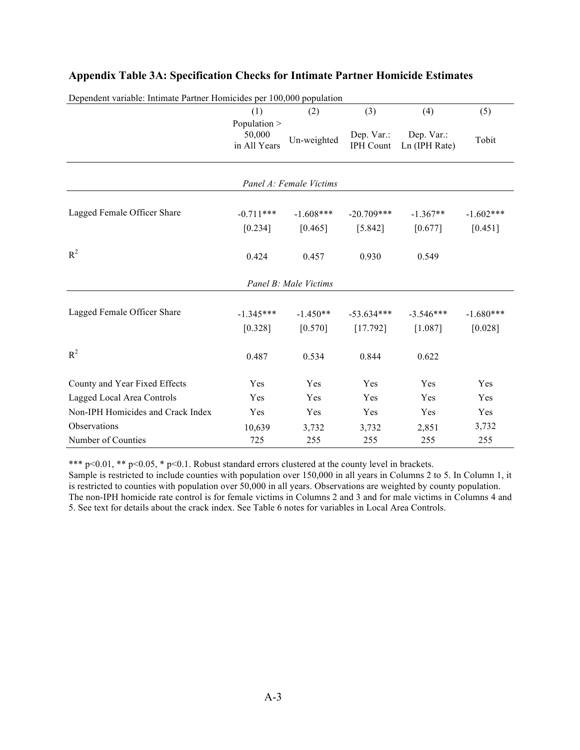| Dependent variable: Intimate Partner Homicides per 100,000 population |                                        |                       |                                |                             |                        |  |  |  |  |
|-----------------------------------------------------------------------|----------------------------------------|-----------------------|--------------------------------|-----------------------------|------------------------|--|--|--|--|
|                                                                       | (1)                                    | (2)                   | (3)                            | (4)                         | (5)                    |  |  |  |  |
|                                                                       | Population ><br>50,000<br>in All Years | Un-weighted           | Dep. Var.:<br><b>IPH Count</b> | Dep. Var.:<br>Ln (IPH Rate) | Tobit                  |  |  |  |  |
| Panel A: Female Victims                                               |                                        |                       |                                |                             |                        |  |  |  |  |
| Lagged Female Officer Share                                           | $-0.711***$                            | $-1.608***$           | $-20.709***$                   | $-1.367**$                  | $-1.602***$            |  |  |  |  |
|                                                                       | [0.234]                                | [0.465]               | [5.842]                        | [0.677]                     | [0.451]                |  |  |  |  |
| $R^2$                                                                 | 0.424                                  | 0.457                 | 0.930                          | 0.549                       |                        |  |  |  |  |
|                                                                       |                                        | Panel B: Male Victims |                                |                             |                        |  |  |  |  |
| Lagged Female Officer Share                                           | $-1.345***$<br>[0.328]                 | $-1.450**$<br>[0.570] | $-53.634***$<br>[17.792]       | $-3.546***$<br>[1.087]      | $-1.680***$<br>[0.028] |  |  |  |  |
| $R^2$                                                                 | 0.487                                  | 0.534                 | 0.844                          | 0.622                       |                        |  |  |  |  |
| County and Year Fixed Effects                                         | Yes                                    | Yes                   | Yes                            | Yes                         | Yes                    |  |  |  |  |
| Lagged Local Area Controls                                            | Yes                                    | Yes                   | Yes                            | Yes                         | Yes                    |  |  |  |  |
| Non-IPH Homicides and Crack Index                                     | Yes                                    | Yes                   | Yes                            | Yes                         | Yes                    |  |  |  |  |
| Observations                                                          | 10,639                                 | 3,732                 | 3,732                          | 2,851                       | 3,732                  |  |  |  |  |
| Number of Counties                                                    | 725                                    | 255                   | 255                            | 255                         | 255                    |  |  |  |  |

## **Appendix Table 3A: Specification Checks for Intimate Partner Homicide Estimates**

\*\*\*  $p<0.01$ , \*\*  $p<0.05$ , \*  $p<0.1$ . Robust standard errors clustered at the county level in brackets.

Sample is restricted to include counties with population over 150,000 in all years in Columns 2 to 5. In Column 1, it is restricted to counties with population over 50,000 in all years. Observations are weighted by county population. The non-IPH homicide rate control is for female victims in Columns 2 and 3 and for male victims in Columns 4 and 5. See text for details about the crack index. See Table 6 notes for variables in Local Area Controls.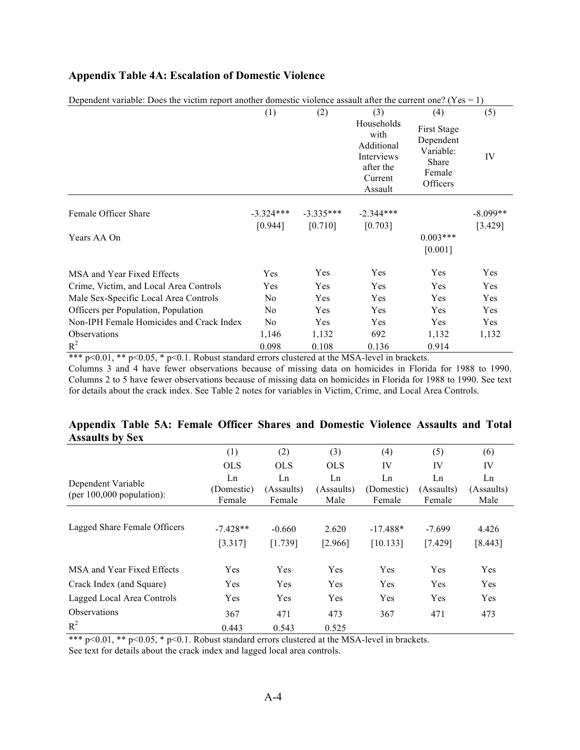## **Appendix Table 4A: Escalation of Domestic Violence**

| Dependent variable. Does the victim report another domestic violence assault arter the current one: $(1 \text{ es} = 1)$ | (1)            | (2)         | (3)                                                                               | (4)                                                                         | (5)        |
|--------------------------------------------------------------------------------------------------------------------------|----------------|-------------|-----------------------------------------------------------------------------------|-----------------------------------------------------------------------------|------------|
|                                                                                                                          |                |             | Households<br>with<br>Additional<br>Interviews<br>after the<br>Current<br>Assault | <b>First Stage</b><br>Dependent<br>Variable:<br>Share<br>Female<br>Officers | IV         |
| Female Officer Share                                                                                                     | $-3.324***$    | $-3.335***$ | $-2.344***$                                                                       |                                                                             | $-8.099**$ |
| Years AA On                                                                                                              | [0.944]        | [0.710]     | [0.703]                                                                           | $0.003***$<br>[0.001]                                                       | [3.429]    |
| MSA and Year Fixed Effects                                                                                               | Yes            | Yes         | <b>Yes</b>                                                                        | Yes                                                                         | Yes        |
| Crime, Victim, and Local Area Controls                                                                                   | Yes            | Yes         | <b>Yes</b>                                                                        | Yes                                                                         | Yes        |
| Male Sex-Specific Local Area Controls                                                                                    | N <sub>0</sub> | Yes         | Yes                                                                               | Yes                                                                         | Yes        |
| Officers per Population, Population                                                                                      | N <sub>0</sub> | Yes         | Yes                                                                               | Yes                                                                         | Yes        |
| Non-IPH Female Homicides and Crack Index                                                                                 | N <sub>0</sub> | Yes         | Yes                                                                               | Yes                                                                         | Yes        |
| <b>Observations</b>                                                                                                      | 1,146          | 1,132       | 692                                                                               | 1,132                                                                       | 1,132      |
| $R^2$                                                                                                                    | 0.098          | 0.108       | 0.136                                                                             | 0.914                                                                       |            |

Dependent variable: Does the victim report another domestic violence assault after the current one? ( $Y_{\text{eS}} = 1$ )

\*\*\* p<0.01, \*\* p<0.05,  $\frac{1}{2}$  p<0.1. Robust standard errors clustered at the MSA-level in brackets.

Columns 3 and 4 have fewer observations because of missing data on homicides in Florida for 1988 to 1990. Columns 2 to 5 have fewer observations because of missing data on homicides in Florida for 1988 to 1990. See text for details about the crack index. See Table 2 notes for variables in Victim, Crime, and Local Area Controls.

## **Appendix Table 5A: Female Officer Shares and Domestic Violence Assaults and Total Assaults by Sex**

|                                                   | (1)                        | (2)                        | (3)                      | (4)                        | (5)                        | (6)                      |
|---------------------------------------------------|----------------------------|----------------------------|--------------------------|----------------------------|----------------------------|--------------------------|
|                                                   | <b>OLS</b>                 | OLS.                       | <b>OLS</b>               | IV                         | IV                         | IV                       |
| Dependent Variable<br>(per $100,000$ population): | Ln<br>(Domestic)<br>Female | Ln<br>(Assaults)<br>Female | Ln<br>(Assaults)<br>Male | Ln<br>(Domestic)<br>Female | Ln<br>(Assaults)<br>Female | Ln<br>(Assaults)<br>Male |
|                                                   |                            |                            |                          |                            |                            |                          |
| Lagged Share Female Officers                      | $-7.428**$                 | $-0.660$                   | 2.620                    | $-17.488*$                 | $-7.699$                   | 4.426                    |
|                                                   | [3.317]                    | [1.739]                    | [2.966]                  | [10.133]                   | [7.429]                    | [8.443]                  |
| MSA and Year Fixed Effects                        | Yes                        | <b>Yes</b>                 | <b>Yes</b>               | <b>Yes</b>                 | <b>Yes</b>                 | <b>Yes</b>               |
| Crack Index (and Square)                          | Yes                        | Yes                        | Yes                      | Yes                        | Yes                        | Yes                      |
| Lagged Local Area Controls                        | Yes                        | Yes                        | Yes                      | Yes                        | Yes                        | Yes                      |
| <b>Observations</b>                               | 367                        | 471                        | 473                      | 367                        | 471                        | 473                      |
| $R^2$                                             | 0.443                      | 0.543                      | 0.525                    |                            |                            |                          |

\*\*\* p<0.01, \*\* p<0.05, \* p<0.1. Robust standard errors clustered at the MSA-level in brackets.

See text for details about the crack index and lagged local area controls.